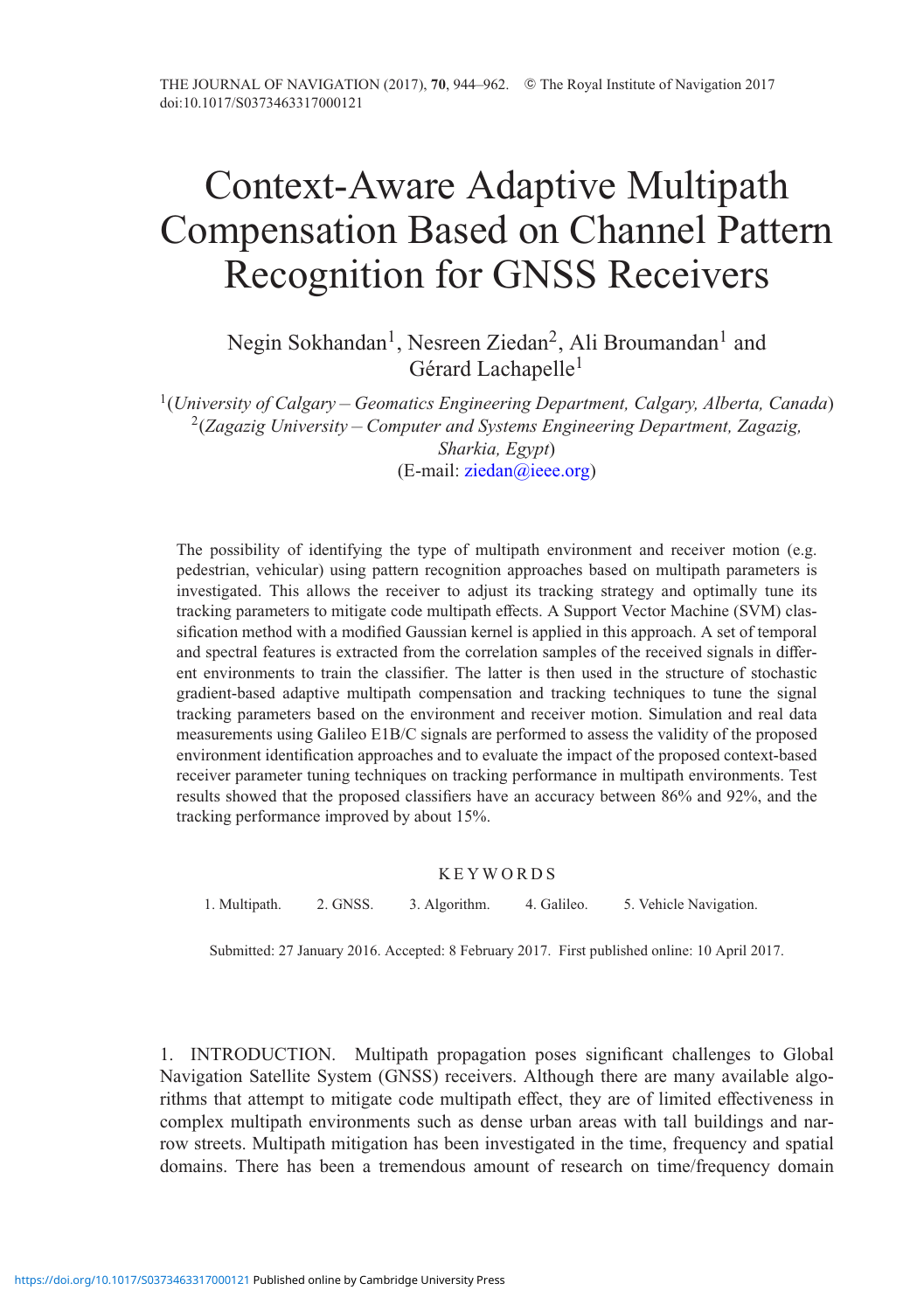## Context-Aware Adaptive Multipath Compensation Based on Channel Pattern Recognition for GNSS Receivers

Negin Sokhandan<sup>1</sup>, Nesreen Ziedan<sup>2</sup>, Ali Broumandan<sup>1</sup> and Gérard Lachapelle<sup>1</sup>

1(*University of Calgary – Geomatics Engineering Department, Calgary, Alberta, Canada*) 2(*Zagazig University – Computer and Systems Engineering Department, Zagazig, Sharkia, Egypt*) (E-mail: [ziedan@ieee.org\)](mailto:ziedan@ieee.org)

The possibility of identifying the type of multipath environment and receiver motion (e.g. pedestrian, vehicular) using pattern recognition approaches based on multipath parameters is investigated. This allows the receiver to adjust its tracking strategy and optimally tune its tracking parameters to mitigate code multipath effects. A Support Vector Machine (SVM) classification method with a modified Gaussian kernel is applied in this approach. A set of temporal and spectral features is extracted from the correlation samples of the received signals in different environments to train the classifier. The latter is then used in the structure of stochastic gradient-based adaptive multipath compensation and tracking techniques to tune the signal tracking parameters based on the environment and receiver motion. Simulation and real data measurements using Galileo E1B/C signals are performed to assess the validity of the proposed environment identification approaches and to evaluate the impact of the proposed context-based receiver parameter tuning techniques on tracking performance in multipath environments. Test results showed that the proposed classifiers have an accuracy between 86% and 92%, and the tracking performance improved by about 15%.

## KEYWORDS

1. Multipath. 2. GNSS. 3. Algorithm. 4. Galileo. 5. Vehicle Navigation.

Submitted: 27 January 2016. Accepted: 8 February 2017. First published online: 10 April 2017.

1. INTRODUCTION. Multipath propagation poses significant challenges to Global Navigation Satellite System (GNSS) receivers. Although there are many available algorithms that attempt to mitigate code multipath effect, they are of limited effectiveness in complex multipath environments such as dense urban areas with tall buildings and narrow streets. Multipath mitigation has been investigated in the time, frequency and spatial domains. There has been a tremendous amount of research on time/frequency domain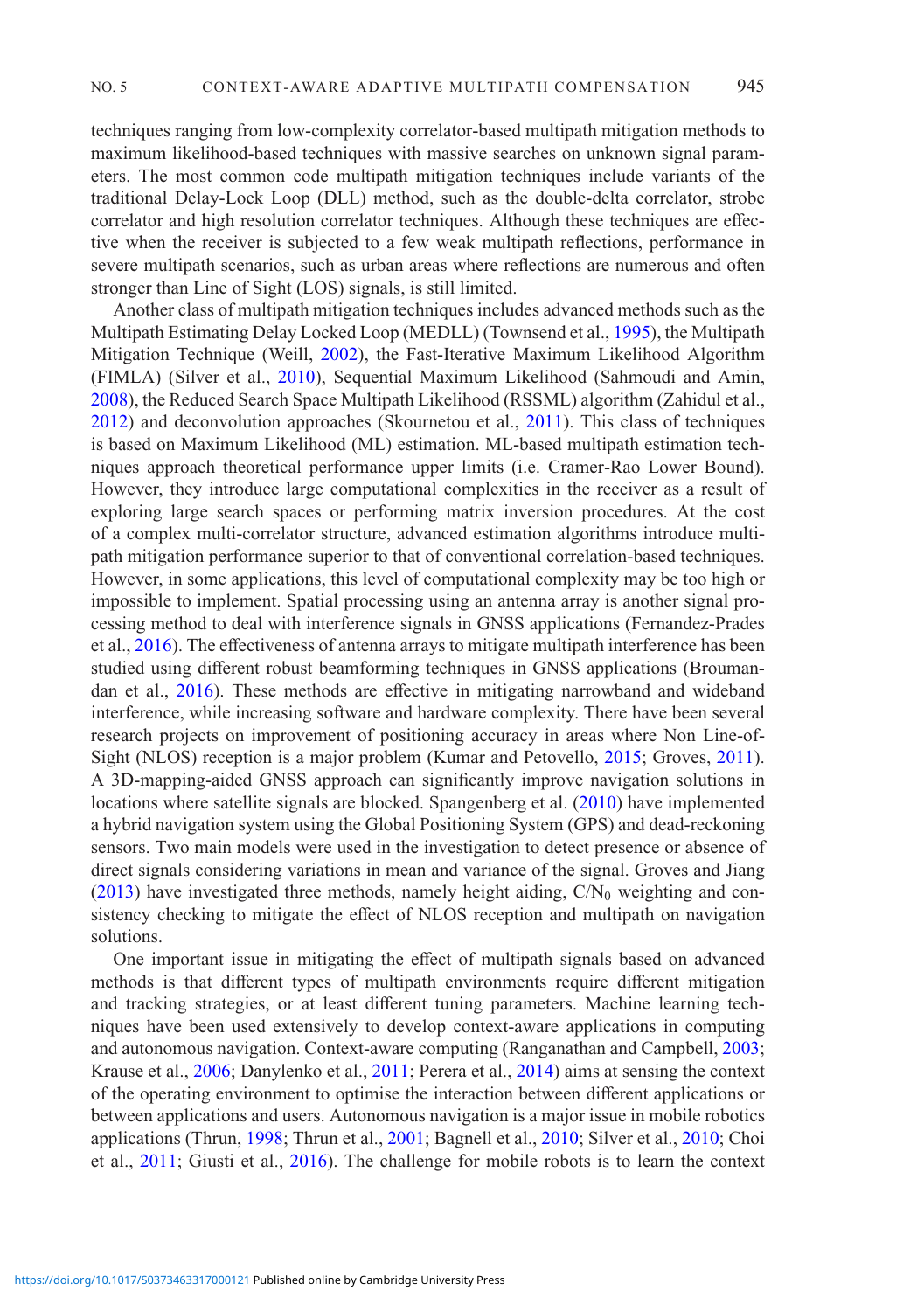techniques ranging from low-complexity correlator-based multipath mitigation methods to maximum likelihood-based techniques with massive searches on unknown signal parameters. The most common code multipath mitigation techniques include variants of the traditional Delay-Lock Loop (DLL) method, such as the double-delta correlator, strobe correlator and high resolution correlator techniques. Although these techniques are effective when the receiver is subjected to a few weak multipath reflections, performance in severe multipath scenarios, such as urban areas where reflections are numerous and often stronger than Line of Sight (LOS) signals, is still limited.

Another class of multipath mitigation techniques includes advanced methods such as the Multipath Estimating Delay Locked Loop (MEDLL) (Townsend et al., [1995](#page-18-0)), the Multipath Mitigation Technique (Weill, [2002](#page-18-1)), the Fast-Iterative Maximum Likelihood Algorithm (FIMLA) (Silver et al., [2010](#page-18-2)), Sequential Maximum Likelihood (Sahmoudi and Amin, [2008](#page-18-3)), the Reduced Search Space Multipath Likelihood (RSSML) algorithm (Zahidul et al., [2012](#page-18-4)) and deconvolution approaches (Skournetou et al., [2011\)](#page-18-5). This class of techniques is based on Maximum Likelihood (ML) estimation. ML-based multipath estimation techniques approach theoretical performance upper limits (i.e. Cramer-Rao Lower Bound). However, they introduce large computational complexities in the receiver as a result of exploring large search spaces or performing matrix inversion procedures. At the cost of a complex multi-correlator structure, advanced estimation algorithms introduce multipath mitigation performance superior to that of conventional correlation-based techniques. However, in some applications, this level of computational complexity may be too high or impossible to implement. Spatial processing using an antenna array is another signal processing method to deal with interference signals in GNSS applications (Fernandez-Prades et al., [2016\)](#page-17-0). The effectiveness of antenna arrays to mitigate multipath interference has been studied using different robust beamforming techniques in GNSS applications (Broumandan et al., [2016](#page-17-1)). These methods are effective in mitigating narrowband and wideband interference, while increasing software and hardware complexity. There have been several research projects on improvement of positioning accuracy in areas where Non Line-of-Sight (NLOS) reception is a major problem (Kumar and Petovello, [2015;](#page-17-2) Groves, [2011\)](#page-17-3). A 3D-mapping-aided GNSS approach can significantly improve navigation solutions in locations where satellite signals are blocked. Spangenberg et al. [\(2010](#page-18-6)) have implemented a hybrid navigation system using the Global Positioning System (GPS) and dead-reckoning sensors. Two main models were used in the investigation to detect presence or absence of direct signals considering variations in mean and variance of the signal. Groves and Jiang  $(2013)$  have investigated three methods, namely height aiding,  $C/N<sub>0</sub>$  weighting and consistency checking to mitigate the effect of NLOS reception and multipath on navigation solutions.

One important issue in mitigating the effect of multipath signals based on advanced methods is that different types of multipath environments require different mitigation and tracking strategies, or at least different tuning parameters. Machine learning techniques have been used extensively to develop context-aware applications in computing and autonomous navigation. Context-aware computing (Ranganathan and Campbell, [2003;](#page-18-7) Krause et al., [2006](#page-17-5); Danylenko et al., [2011;](#page-17-6) Perera et al., [2014\)](#page-17-7) aims at sensing the context of the operating environment to optimise the interaction between different applications or between applications and users. Autonomous navigation is a major issue in mobile robotics applications (Thrun, [1998](#page-18-8); Thrun et al., [2001;](#page-18-9) Bagnell et al., [2010](#page-17-8); Silver et al., [2010](#page-18-2); Choi et al., [2011;](#page-17-9) Giusti et al., [2016\)](#page-17-10). The challenge for mobile robots is to learn the context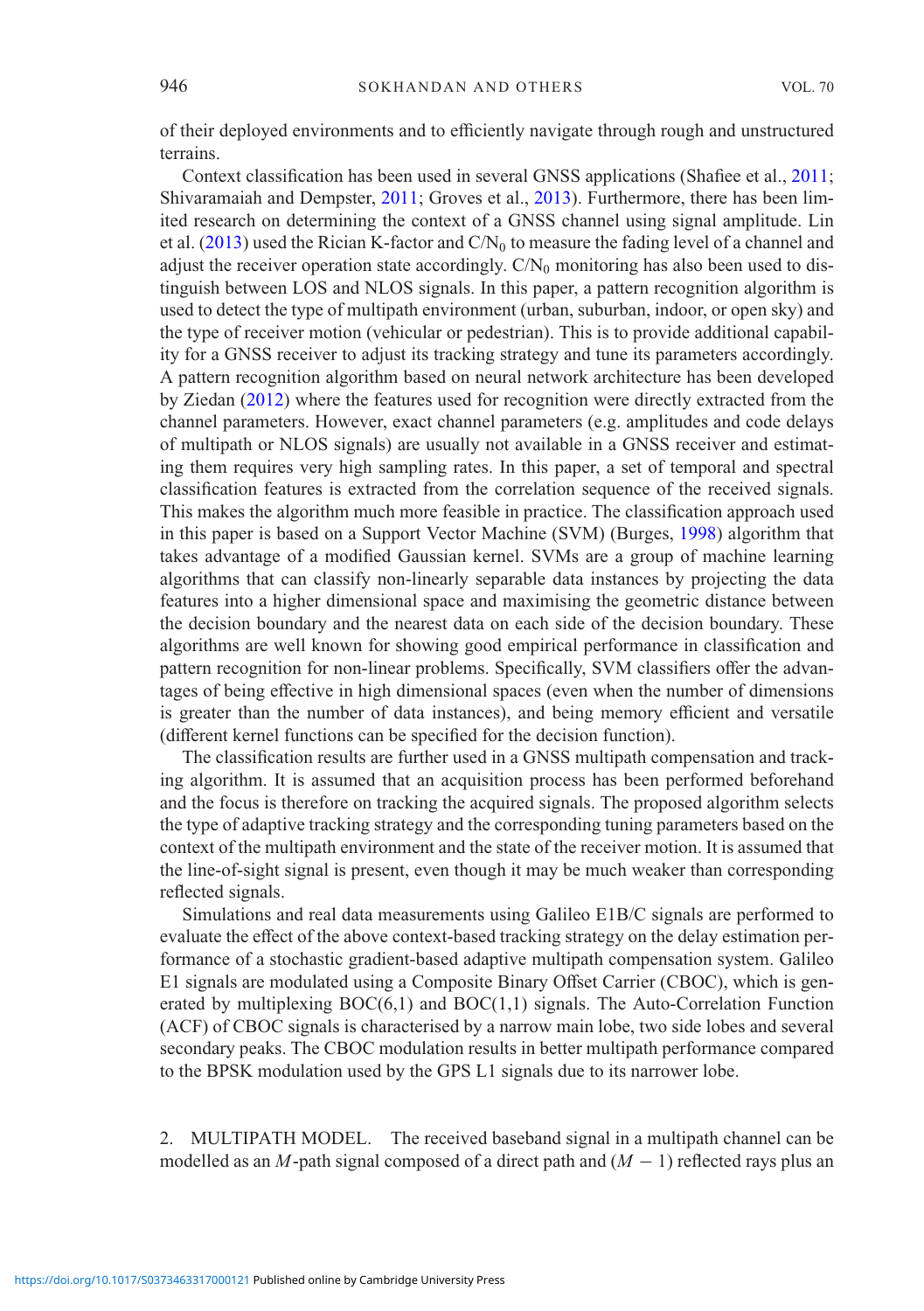of their deployed environments and to efficiently navigate through rough and unstructured terrains.

Context classification has been used in several GNSS applications (Shafiee et al., [2011;](#page-18-10) Shivaramaiah and Dempster, [2011](#page-18-11); Groves et al., [2013](#page-17-11)). Furthermore, there has been limited research on determining the context of a GNSS channel using signal amplitude. Lin et al.  $(2013)$  used the Rician K-factor and C/N<sub>0</sub> to measure the fading level of a channel and adjust the receiver operation state accordingly.  $C/N_0$  monitoring has also been used to distinguish between LOS and NLOS signals. In this paper, a pattern recognition algorithm is used to detect the type of multipath environment (urban, suburban, indoor, or open sky) and the type of receiver motion (vehicular or pedestrian). This is to provide additional capability for a GNSS receiver to adjust its tracking strategy and tune its parameters accordingly. A pattern recognition algorithm based on neural network architecture has been developed by Ziedan [\(2012\)](#page-18-12) where the features used for recognition were directly extracted from the channel parameters. However, exact channel parameters (e.g. amplitudes and code delays of multipath or NLOS signals) are usually not available in a GNSS receiver and estimating them requires very high sampling rates. In this paper, a set of temporal and spectral classification features is extracted from the correlation sequence of the received signals. This makes the algorithm much more feasible in practice. The classification approach used in this paper is based on a Support Vector Machine (SVM) (Burges, [1998\)](#page-17-13) algorithm that takes advantage of a modified Gaussian kernel. SVMs are a group of machine learning algorithms that can classify non-linearly separable data instances by projecting the data features into a higher dimensional space and maximising the geometric distance between the decision boundary and the nearest data on each side of the decision boundary. These algorithms are well known for showing good empirical performance in classification and pattern recognition for non-linear problems. Specifically, SVM classifiers offer the advantages of being effective in high dimensional spaces (even when the number of dimensions is greater than the number of data instances), and being memory efficient and versatile (different kernel functions can be specified for the decision function).

The classification results are further used in a GNSS multipath compensation and tracking algorithm. It is assumed that an acquisition process has been performed beforehand and the focus is therefore on tracking the acquired signals. The proposed algorithm selects the type of adaptive tracking strategy and the corresponding tuning parameters based on the context of the multipath environment and the state of the receiver motion. It is assumed that the line-of-sight signal is present, even though it may be much weaker than corresponding reflected signals.

Simulations and real data measurements using Galileo E1B/C signals are performed to evaluate the effect of the above context-based tracking strategy on the delay estimation performance of a stochastic gradient-based adaptive multipath compensation system. Galileo E1 signals are modulated using a Composite Binary Offset Carrier (CBOC), which is generated by multiplexing BOC(6,1) and BOC(1,1) signals. The Auto-Correlation Function (ACF) of CBOC signals is characterised by a narrow main lobe, two side lobes and several secondary peaks. The CBOC modulation results in better multipath performance compared to the BPSK modulation used by the GPS L1 signals due to its narrower lobe.

2. MULTIPATH MODEL. The received baseband signal in a multipath channel can be modelled as an *M*-path signal composed of a direct path and  $(M - 1)$  reflected rays plus an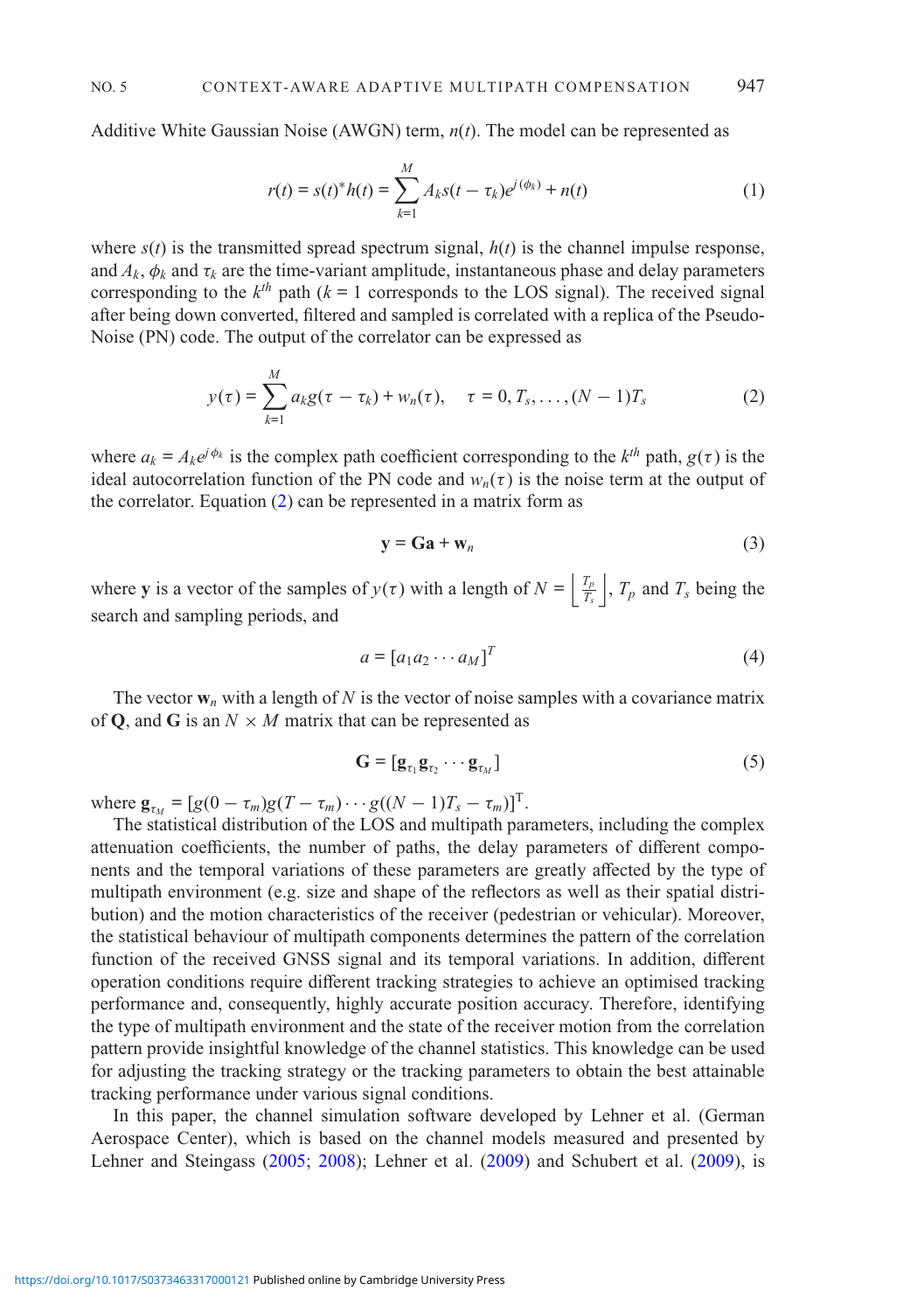Additive White Gaussian Noise (AWGN) term, *n*(*t*). The model can be represented as

<span id="page-3-1"></span>
$$
r(t) = s(t)^{*}h(t) = \sum_{k=1}^{M} A_{k}s(t - \tau_{k})e^{i(\phi_{k})} + n(t)
$$
\n(1)

where  $s(t)$  is the transmitted spread spectrum signal,  $h(t)$  is the channel impulse response, and  $A_k$ ,  $\phi_k$  and  $\tau_k$  are the time-variant amplitude, instantaneous phase and delay parameters corresponding to the  $k^{th}$  path ( $k = 1$  corresponds to the LOS signal). The received signal after being down converted, filtered and sampled is correlated with a replica of the Pseudo-Noise (PN) code. The output of the correlator can be expressed as

<span id="page-3-0"></span>
$$
y(\tau) = \sum_{k=1}^{M} a_k g(\tau - \tau_k) + w_n(\tau), \quad \tau = 0, T_s, \dots, (N-1)T_s
$$
 (2)

where  $a_k = A_k e^{j \phi_k}$  is the complex path coefficient corresponding to the  $k^{th}$  path,  $g(\tau)$  is the ideal autocorrelation function of the PN code and  $w_n(\tau)$  is the noise term at the output of the correlator. Equation [\(2\)](#page-3-0) can be represented in a matrix form as

$$
y = Ga + w_n \tag{3}
$$

where **y** is a vector of the samples of  $y(\tau)$  with a length of  $N = \left\lfloor \frac{T_p}{T_s} \right\rfloor$ ,  $T_p$  and  $T_s$  being the search and sampling periods, and

$$
a = [a_1 a_2 \cdots a_M]^T
$$
 (4)

The vector  $w_n$  with a length of  $N$  is the vector of noise samples with a covariance matrix of **Q**, and **G** is an  $N \times M$  matrix that can be represented as

$$
\mathbf{G} = [\mathbf{g}_{\tau_1} \mathbf{g}_{\tau_2} \cdots \mathbf{g}_{\tau_M}] \tag{5}
$$

where  $\mathbf{g}_{\tau_M} = [g(0 - \tau_m)g(T - \tau_m) \cdots g((N - 1)T_s - \tau_m)]^T$ .

The statistical distribution of the LOS and multipath parameters, including the complex attenuation coefficients, the number of paths, the delay parameters of different components and the temporal variations of these parameters are greatly affected by the type of multipath environment (e.g. size and shape of the reflectors as well as their spatial distribution) and the motion characteristics of the receiver (pedestrian or vehicular). Moreover, the statistical behaviour of multipath components determines the pattern of the correlation function of the received GNSS signal and its temporal variations. In addition, different operation conditions require different tracking strategies to achieve an optimised tracking performance and, consequently, highly accurate position accuracy. Therefore, identifying the type of multipath environment and the state of the receiver motion from the correlation pattern provide insightful knowledge of the channel statistics. This knowledge can be used for adjusting the tracking strategy or the tracking parameters to obtain the best attainable tracking performance under various signal conditions.

In this paper, the channel simulation software developed by Lehner et al. (German Aerospace Center), which is based on the channel models measured and presented by Lehner and Steingass  $(2005; 2008)$  $(2005; 2008)$  $(2005; 2008)$ ; Lehner et al.  $(2009)$  and Schubert et al.  $(2009)$  $(2009)$ , is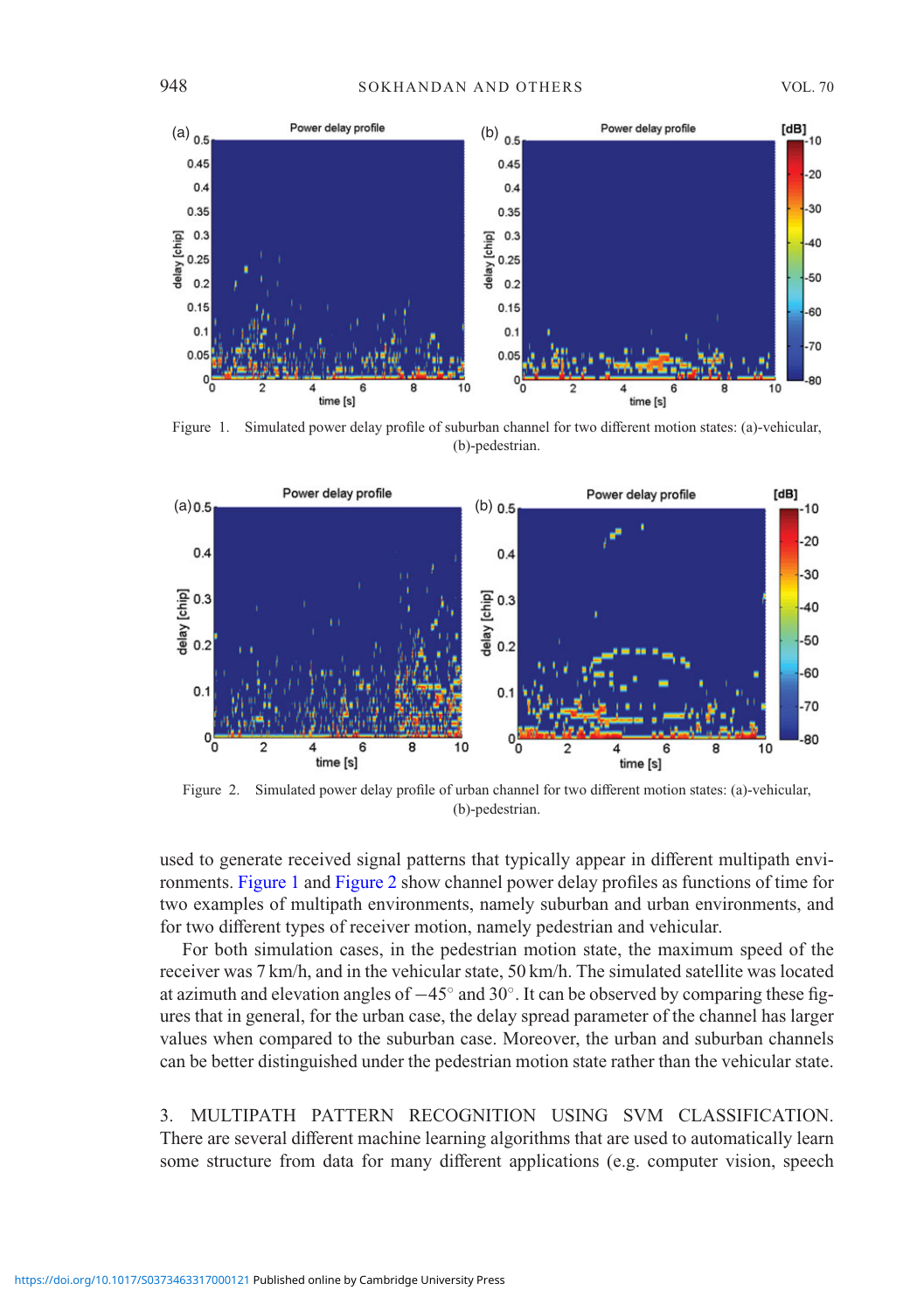<span id="page-4-0"></span>

Figure 1. Simulated power delay profile of suburban channel for two different motion states: (a)-vehicular, (b)-pedestrian.

<span id="page-4-1"></span>

Figure 2. Simulated power delay profile of urban channel for two different motion states: (a)-vehicular, (b)-pedestrian.

used to generate received signal patterns that typically appear in different multipath environments. [Figure 1](#page-4-0) and [Figure 2](#page-4-1) show channel power delay profiles as functions of time for two examples of multipath environments, namely suburban and urban environments, and for two different types of receiver motion, namely pedestrian and vehicular.

For both simulation cases, in the pedestrian motion state, the maximum speed of the receiver was 7 km/h, and in the vehicular state, 50 km/h. The simulated satellite was located at azimuth and elevation angles of −45◦ and 30◦. It can be observed by comparing these figures that in general, for the urban case, the delay spread parameter of the channel has larger values when compared to the suburban case. Moreover, the urban and suburban channels can be better distinguished under the pedestrian motion state rather than the vehicular state.

3. MULTIPATH PATTERN RECOGNITION USING SVM CLASSIFICATION. There are several different machine learning algorithms that are used to automatically learn some structure from data for many different applications (e.g. computer vision, speech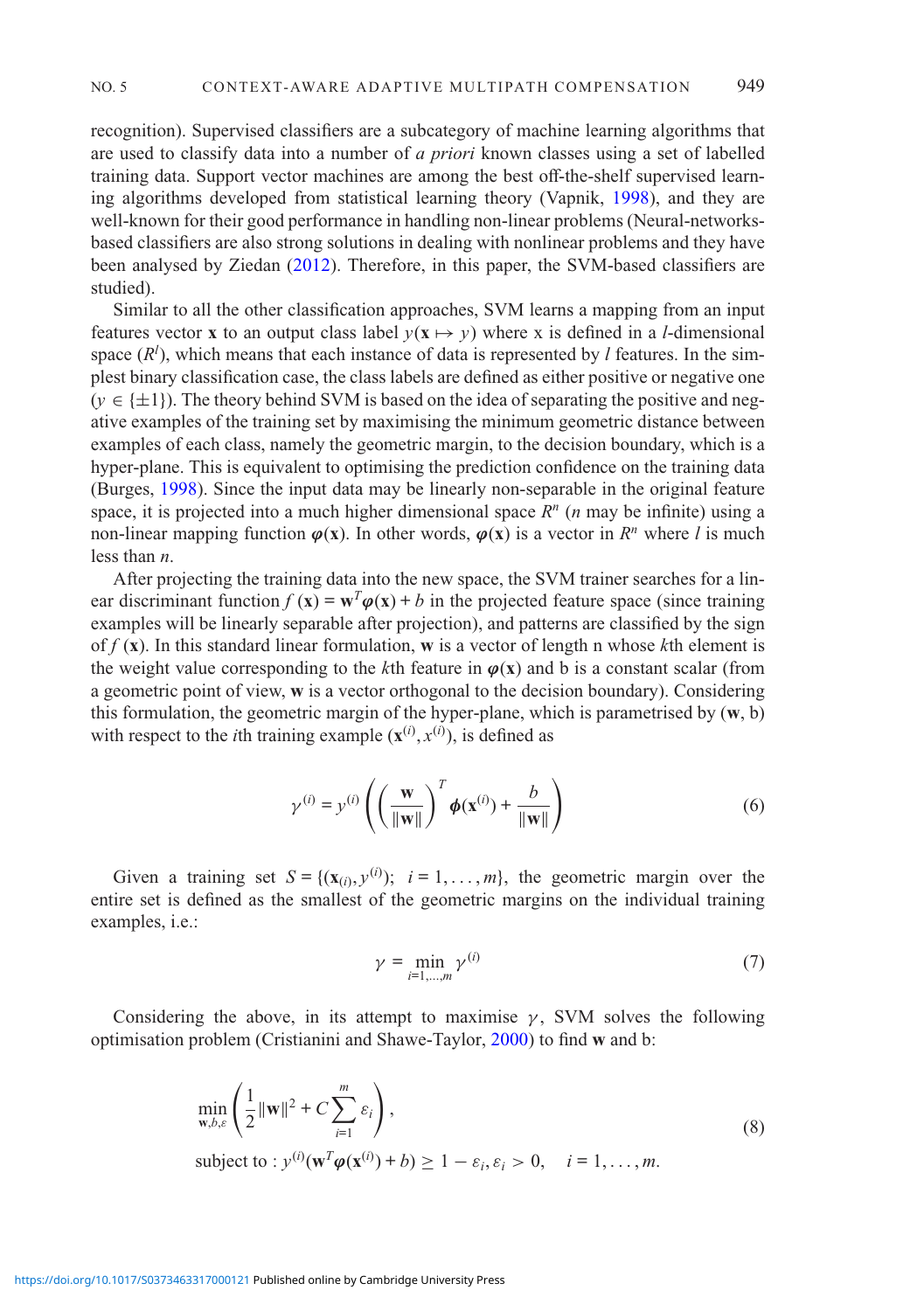recognition). Supervised classifiers are a subcategory of machine learning algorithms that are used to classify data into a number of *a priori* known classes using a set of labelled training data. Support vector machines are among the best off-the-shelf supervised learning algorithms developed from statistical learning theory (Vapnik, [1998\)](#page-18-14), and they are well-known for their good performance in handling non-linear problems (Neural-networksbased classifiers are also strong solutions in dealing with nonlinear problems and they have been analysed by Ziedan [\(2012](#page-18-12)). Therefore, in this paper, the SVM-based classifiers are studied).

Similar to all the other classification approaches, SVM learns a mapping from an input features vector **x** to an output class label  $y$ (**x**  $\mapsto$  *y*) where x is defined in a *l*-dimensional space  $(R<sup>l</sup>)$ , which means that each instance of data is represented by *l* features. In the simplest binary classification case, the class labels are defined as either positive or negative one  $(y \in {\pm 1})$ . The theory behind SVM is based on the idea of separating the positive and negative examples of the training set by maximising the minimum geometric distance between examples of each class, namely the geometric margin, to the decision boundary, which is a hyper-plane. This is equivalent to optimising the prediction confidence on the training data (Burges, [1998](#page-17-13)). Since the input data may be linearly non-separable in the original feature space, it is projected into a much higher dimensional space  $R<sup>n</sup>$  (*n* may be infinite) using a non-linear mapping function  $\varphi(\mathbf{x})$ . In other words,  $\varphi(\mathbf{x})$  is a vector in  $R^n$  where *l* is much less than *n*.

After projecting the training data into the new space, the SVM trainer searches for a linear discriminant function  $f(\mathbf{x}) = \mathbf{w}^T \boldsymbol{\varphi}(\mathbf{x}) + b$  in the projected feature space (since training examples will be linearly separable after projection), and patterns are classified by the sign of *<sup>f</sup>* (**x**). In this standard linear formulation, **w** is a vector of length n whose *<sup>k</sup>*th element is the weight value corresponding to the *k*th feature in  $\varphi(x)$  and b is a constant scalar (from a geometric point of view, **w** is a vector orthogonal to the decision boundary). Considering this formulation, the geometric margin of the hyper-plane, which is parametrised by (**w**, b) with respect to the *i*th training example  $(\mathbf{x}^{(i)}, x^{(i)})$ , is defined as

$$
\gamma^{(i)} = y^{(i)} \left( \left( \frac{\mathbf{w}}{\|\mathbf{w}\|} \right)^T \boldsymbol{\phi}(\mathbf{x}^{(i)}) + \frac{b}{\|\mathbf{w}\|} \right) \tag{6}
$$

Given a training set  $S = \{(\mathbf{x}_{(i)}, y^{(i)}); i = 1, ..., m\}$ , the geometric margin over the individual training entire set is defined as the smallest of the geometric margins on the individual training examples, i.e.:

$$
\gamma = \min_{i=1,\dots,m} \gamma^{(i)} \tag{7}
$$

<span id="page-5-0"></span>Considering the above, in its attempt to maximise  $\gamma$ , SVM solves the following optimisation problem (Cristianini and Shawe-Taylor, [2000](#page-17-17)) to find **w** and b:

$$
\min_{\mathbf{w},b,\varepsilon} \left( \frac{1}{2} \|\mathbf{w}\|^2 + C \sum_{i=1}^m \varepsilon_i \right),
$$
\n
$$
\text{subject to} : y^{(i)} (\mathbf{w}^T \boldsymbol{\varphi}(\mathbf{x}^{(i)}) + b) \ge 1 - \varepsilon_i, \varepsilon_i > 0, \quad i = 1,\dots, m.
$$
\n
$$
(8)
$$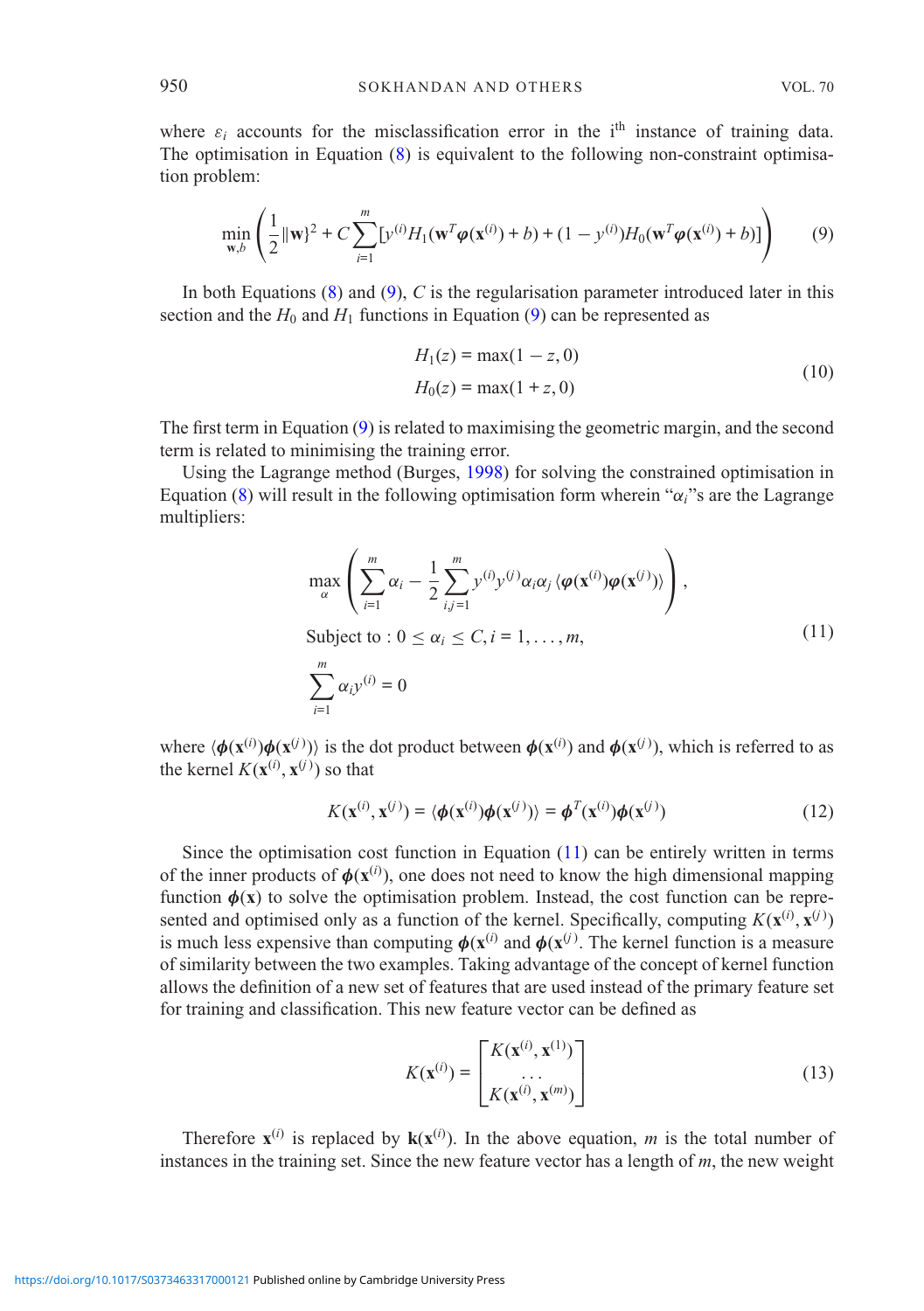where  $\varepsilon_i$  accounts for the misclassification error in the i<sup>th</sup> instance of training data. The optimisation in Equation [\(8\)](#page-5-0) is equivalent to the following non-constraint optimisation problem:

<span id="page-6-0"></span>
$$
\min_{\mathbf{w},b} \left( \frac{1}{2} ||\mathbf{w}||^2 + C \sum_{i=1}^m [y^{(i)} H_1(\mathbf{w}^T \boldsymbol{\varphi}(\mathbf{x}^{(i)}) + b) + (1 - y^{(i)}) H_0(\mathbf{w}^T \boldsymbol{\varphi}(\mathbf{x}^{(i)}) + b)] \right) \tag{9}
$$

In both Equations [\(8\)](#page-5-0) and [\(9\)](#page-6-0), *C* is the regularisation parameter introduced later in this section and the  $H_0$  and  $H_1$  functions in Equation [\(9\)](#page-6-0) can be represented as

$$
H_1(z) = \max(1 - z, 0)
$$
  
\n
$$
H_0(z) = \max(1 + z, 0)
$$
\n(10)

The first term in Equation [\(9\)](#page-6-0) is related to maximising the geometric margin, and the second term is related to minimising the training error.

Using the Lagrange method (Burges, [1998\)](#page-17-13) for solving the constrained optimisation in Equation [\(8\)](#page-5-0) will result in the following optimisation form wherein " $\alpha_i$ " sare the Lagrange multipliers:

$$
\max_{\alpha} \left( \sum_{i=1}^{m} \alpha_i - \frac{1}{2} \sum_{i,j=1}^{m} y^{(i)} y^{(j)} \alpha_i \alpha_j \langle \varphi(\mathbf{x}^{(i)}) \varphi(\mathbf{x}^{(j)}) \rangle \right),
$$
  
Subject to :  $0 \le \alpha_i \le C, i = 1, ..., m,$   

$$
\sum_{i=1}^{m} \alpha_i y^{(i)} = 0
$$
 (11)

<span id="page-6-1"></span>where  $\langle \phi(\mathbf{x}^{(i)})\phi(\mathbf{x}^{(j)})\rangle$  is the dot product between  $\phi(\mathbf{x}^{(i)})$  and  $\phi(\mathbf{x}^{(j)})$ , which is referred to as the kernel  $K(\mathbf{x}^{(i)}\mathbf{x}^{(j)})$  so that the kernel  $K(\mathbf{x}^{(i)}, \mathbf{x}^{(j)})$  so that

$$
K(\mathbf{x}^{(i)}, \mathbf{x}^{(j)}) = \langle \phi(\mathbf{x}^{(i)})\phi(\mathbf{x}^{(j)}) \rangle = \phi^T(\mathbf{x}^{(i)})\phi(\mathbf{x}^{(j)})
$$
(12)

Since the optimisation cost function in Equation  $(11)$  can be entirely written in terms of the inner products of  $\phi(\mathbf{x}^{(i)})$ , one does not need to know the high dimensional mapping<br>function  $\phi(\mathbf{x})$  to solve the optimisation problem. Instead, the cost function can be reprefunction  $\phi(x)$  to solve the optimisation problem. Instead, the cost function can be represented and optimised only as a function of the kernel. Specifically, computing  $K(\mathbf{x}^{(i)}, \mathbf{x}^{(i)})$  is much less expensive than computing  $\phi(\mathbf{x}^{(i)}$  and  $\phi(\mathbf{x}^{(i)})$ . The kernel function is a measure is much less expensive than computing  $\phi(\mathbf{x}^{(i)})$  and  $\phi(\mathbf{x}^{(j)})$ . The kernel function is a measure of similarity between the two examples. Taking advantage of the concept of kernel function of similarity between the two examples. Taking advantage of the concept of kernel function allows the definition of a new set of features that are used instead of the primary feature set for training and classification. This new feature vector can be defined as

$$
K(\mathbf{x}^{(i)}) = \begin{bmatrix} K(\mathbf{x}^{(i)}, \mathbf{x}^{(1)}) \\ \dots \\ K(\mathbf{x}^{(i)}, \mathbf{x}^{(m)}) \end{bmatrix}
$$
(13)

Therefore  $\mathbf{x}^{(i)}$  is replaced by  $\mathbf{k}(\mathbf{x}^{(i)})$ . In the above equation, *m* is the total number of tances in the training set. Since the new vector has a length of *m* the new weight instances in the training set. Since the new feature vector has a length of *m*, the new weight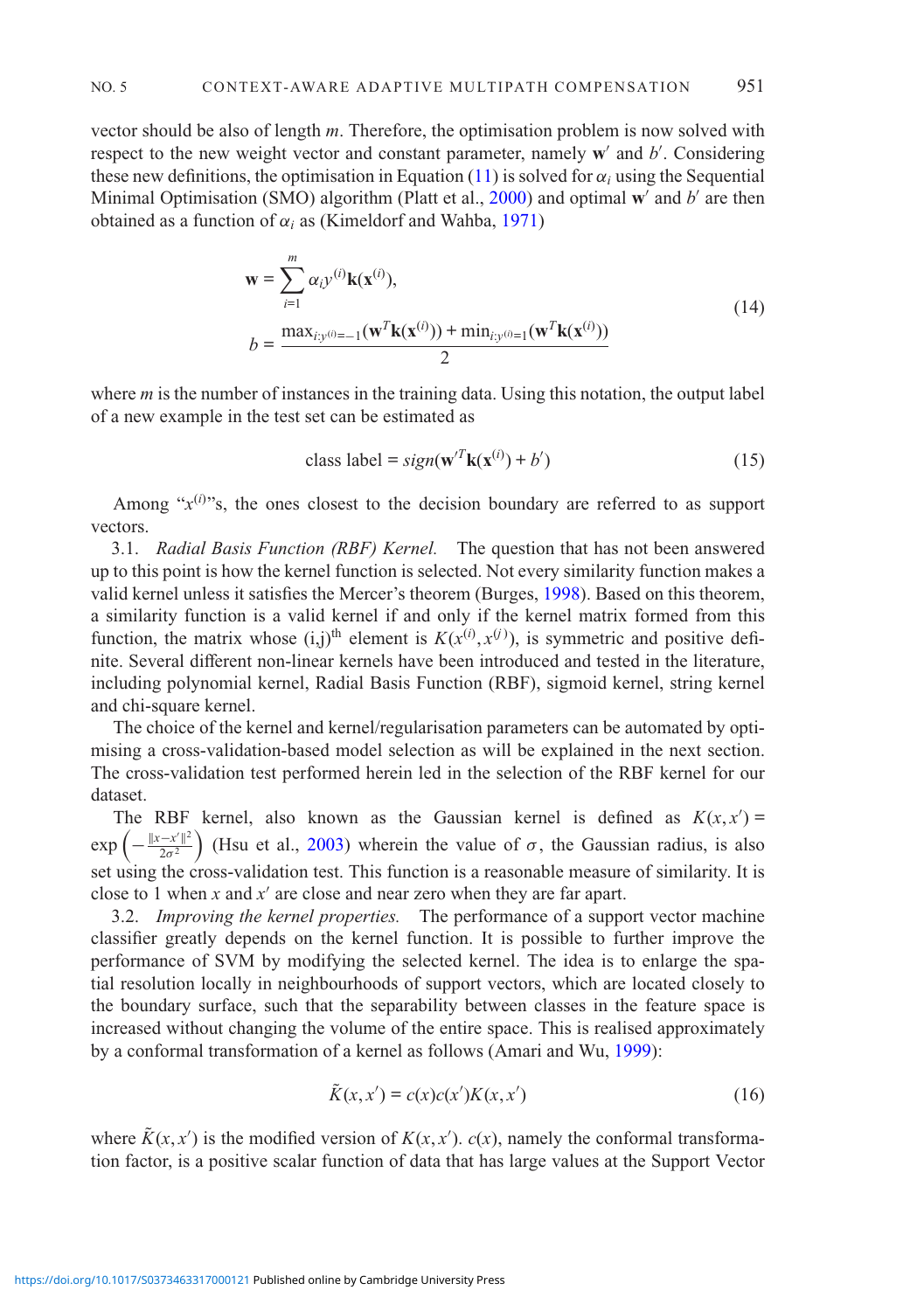vector should be also of length *m*. Therefore, the optimisation problem is now solved with respect to the new weight vector and constant parameter, namely **w**<sup> $\prime$ </sup> and *b*<sup> $\prime$ </sup>. Considering these new definitions the optimisation in Equation (11) is solved for  $\alpha$ , using the Sequential these new definitions, the optimisation in Equation [\(11\)](#page-6-1) is solved for  $\alpha_i$  using the Sequential Minimal Optimisation (SMO) algorithm (Platt et al., [2000](#page-17-18)) and optimal  $\mathbf{w}'$  and  $\mathbf{b}'$  are then obtained as a function of  $\alpha_i$  as (Kimeldorf and Wahba, [1971\)](#page-17-19)

$$
\mathbf{w} = \sum_{i=1}^{m} \alpha_{i} y^{(i)} \mathbf{k}(\mathbf{x}^{(i)}),
$$
  
\n
$$
b = \frac{\max_{i: y^{(i)} = -1} (\mathbf{w}^{T} \mathbf{k}(\mathbf{x}^{(i)})) + \min_{i: y^{(i)} = 1} (\mathbf{w}^{T} \mathbf{k}(\mathbf{x}^{(i)}))}{2}
$$
\n(14)

where *m* is the number of instances in the training data. Using this notation, the output label of a new example in the test set can be estimated as

<span id="page-7-1"></span>class label = 
$$
sign(\mathbf{w}^{T}\mathbf{k}(\mathbf{x}^{(i)}) + b')
$$
 (15)

Among " $x^{(i)}$ "s, the ones closest to the decision boundary are referred to as support vectors.

3.1. *Radial Basis Function (RBF) Kernel.* The question that has not been answered up to this point is how the kernel function is selected. Not every similarity function makes a valid kernel unless it satisfies the Mercer's theorem (Burges, [1998\)](#page-17-13). Based on this theorem, a similarity function is a valid kernel if and only if the kernel matrix formed from this function, the matrix whose  $(i,j)$ <sup>th</sup> element is  $K(x^{(i)}, x^{(j)})$ , is symmetric and positive definite. Several different non-linear kernels have been introduced and tested in the literature, including polynomial kernel, Radial Basis Function (RBF), sigmoid kernel, string kernel and chi-square kernel.

The choice of the kernel and kernel/regularisation parameters can be automated by optimising a cross-validation-based model selection as will be explained in the next section. The cross-validation test performed herein led in the selection of the RBF kernel for our dataset.

The RBF kernel, also known as the Gaussian kernel is defined as  $K(x, x') =$  $\exp\left(-\frac{\|x-x'\|^2}{2\sigma^2}\right)$  $\left( \frac{-x'\|^2}{2\sigma^2} \right)$  (Hsu et al., [2003\)](#page-17-20) wherein the value of  $\sigma$ , the Gaussian radius, is also set using the cross-validation test. This function is a reasonable measure of similarity. It is close to 1 when *x* and  $x'$  are close and near zero when they are far apart.

3.2. *Improving the kernel properties.* The performance of a support vector machine classifier greatly depends on the kernel function. It is possible to further improve the performance of SVM by modifying the selected kernel. The idea is to enlarge the spatial resolution locally in neighbourhoods of support vectors, which are located closely to the boundary surface, such that the separability between classes in the feature space is increased without changing the volume of the entire space. This is realised approximately by a conformal transformation of a kernel as follows (Amari and Wu, [1999\)](#page-17-21):

<span id="page-7-0"></span>
$$
\tilde{K}(x, x') = c(x)c(x')K(x, x')
$$
\n(16)

where  $\tilde{K}(x, x')$  is the modified version of  $K(x, x')$ .  $c(x)$ , namely the conformal transformation factor, is a positive scalar function of data that has large values at the Support Vector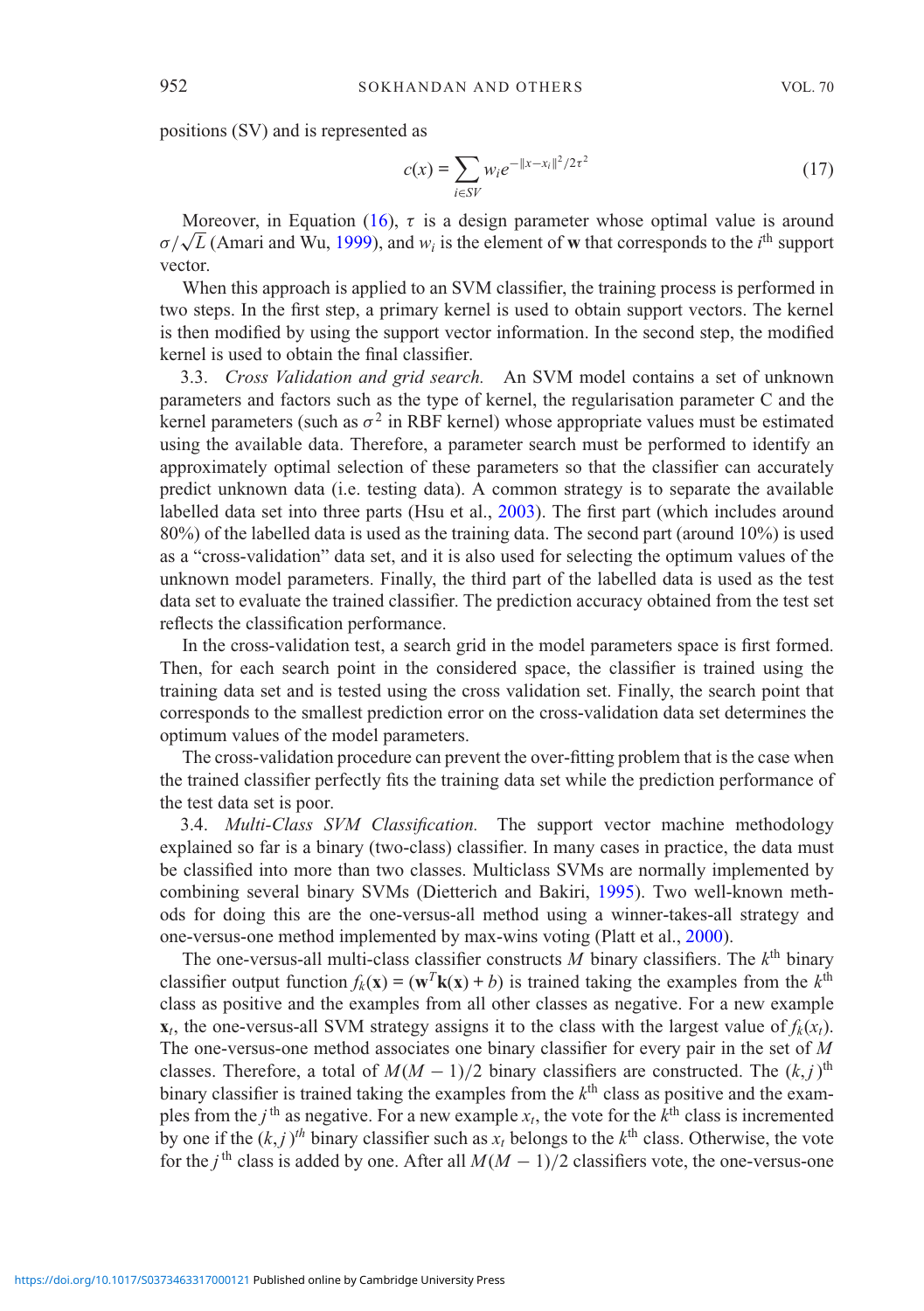positions (SV) and is represented as

$$
c(x) = \sum_{i \in SV} w_i e^{-\|x - x_i\|^2 / 2\tau^2}
$$
 (17)

Moreover, in Equation [\(16\)](#page-7-0),  $\tau$  is a design parameter whose optimal value is around Moreover, in Equation (16),  $\tau$  is a design parameter whose optimal value is around  $\sigma/\sqrt{L}$  (Amari and Wu, [1999\)](#page-17-21), and  $w_i$  is the element of **w** that corresponds to the *i*<sup>th</sup> support vector vector.

When this approach is applied to an SVM classifier, the training process is performed in two steps. In the first step, a primary kernel is used to obtain support vectors. The kernel is then modified by using the support vector information. In the second step, the modified kernel is used to obtain the final classifier.

3.3. *Cross Validation and grid search.* An SVM model contains a set of unknown parameters and factors such as the type of kernel, the regularisation parameter C and the kernel parameters (such as  $\sigma^2$  in RBF kernel) whose appropriate values must be estimated using the available data. Therefore, a parameter search must be performed to identify an approximately optimal selection of these parameters so that the classifier can accurately predict unknown data (i.e. testing data). A common strategy is to separate the available labelled data set into three parts (Hsu et al., [2003\)](#page-17-20). The first part (which includes around 80%) of the labelled data is used as the training data. The second part (around 10%) is used as a "cross-validation" data set, and it is also used for selecting the optimum values of the unknown model parameters. Finally, the third part of the labelled data is used as the test data set to evaluate the trained classifier. The prediction accuracy obtained from the test set reflects the classification performance.

In the cross-validation test, a search grid in the model parameters space is first formed. Then, for each search point in the considered space, the classifier is trained using the training data set and is tested using the cross validation set. Finally, the search point that corresponds to the smallest prediction error on the cross-validation data set determines the optimum values of the model parameters.

The cross-validation procedure can prevent the over-fitting problem that is the case when the trained classifier perfectly fits the training data set while the prediction performance of the test data set is poor.

3.4. *Multi-Class SVM Classification.* The support vector machine methodology explained so far is a binary (two-class) classifier. In many cases in practice, the data must be classified into more than two classes. Multiclass SVMs are normally implemented by combining several binary SVMs (Dietterich and Bakiri, [1995\)](#page-17-22). Two well-known methods for doing this are the one-versus-all method using a winner-takes-all strategy and one-versus-one method implemented by max-wins voting (Platt et al., [2000](#page-17-18)).

The one-versus-all multi-class classifier constructs *M* binary classifiers. The  $k<sup>th</sup>$  binary classifier output function  $f_k(\mathbf{x}) = (\mathbf{w}^T \mathbf{k}(\mathbf{x}) + b)$  is trained taking the examples from the  $k^{\text{th}}$ class as positive and the examples from all other classes as negative. For a new example  $\mathbf{x}_t$ , the one-versus-all SVM strategy assigns it to the class with the largest value of  $f_k(x_t)$ . The one-versus-one method associates one binary classifier for every pair in the set of *M* classes. Therefore, a total of  $M(M - 1)/2$  binary classifiers are constructed. The  $(k, j)$ <sup>th</sup> binary classifier is trained taking the examples from the  $k<sup>th</sup>$  class as positive and the examples from the *j*<sup>th</sup> as negative. For a new example  $x_t$ , the vote for the  $k^{\text{th}}$  class is incremented by one if the  $(k, j)$ <sup>th</sup> binary classifier such as  $x_t$  belongs to the  $k$ <sup>th</sup> class. Otherwise, the vote for the *j*<sup>th</sup> class is added by one. After all  $M(M - 1)/2$  classifiers vote, the one-versus-one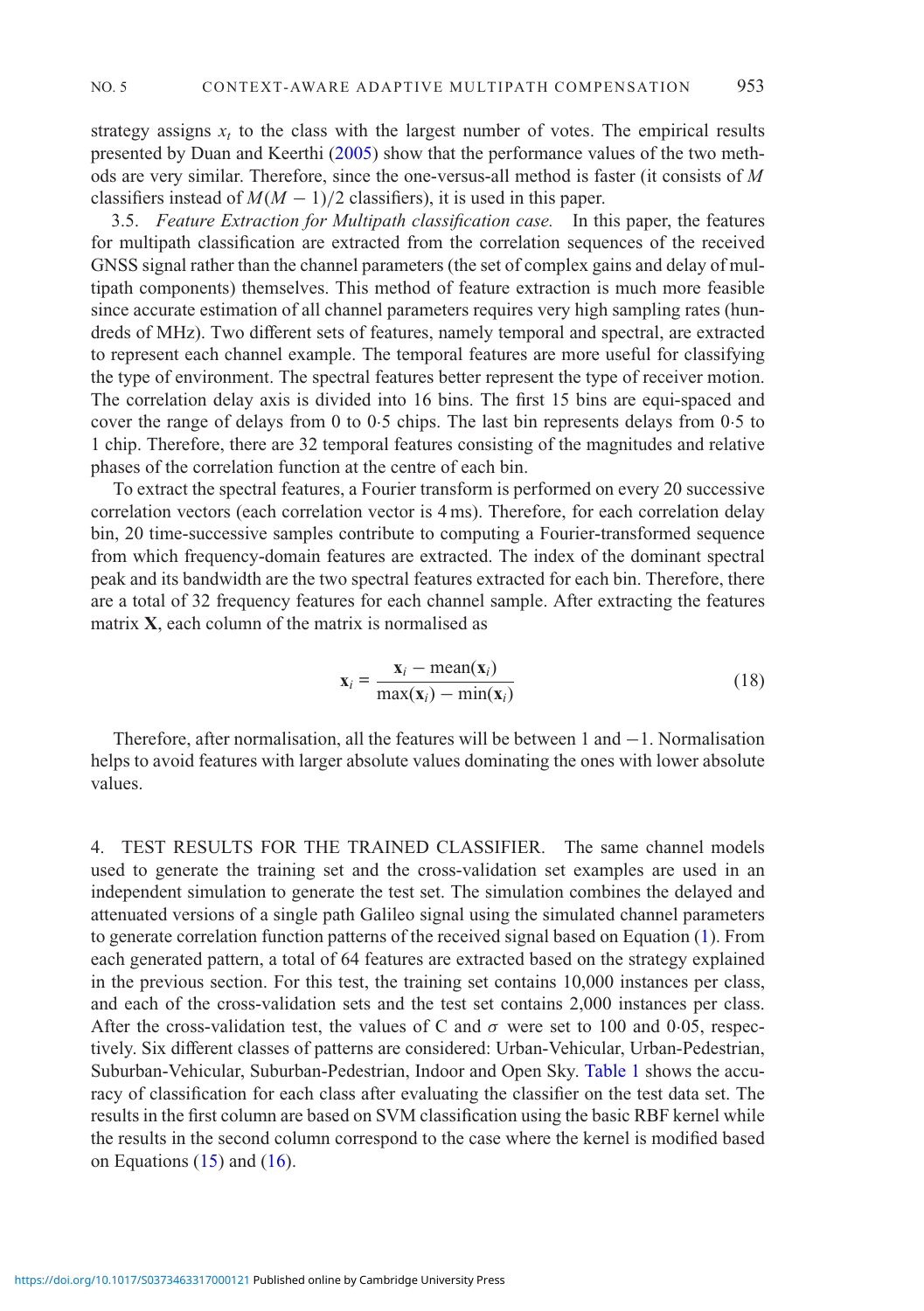strategy assigns  $x_t$  to the class with the largest number of votes. The empirical results presented by Duan and Keerthi [\(2005\)](#page-17-23) show that the performance values of the two methods are very similar. Therefore, since the one-versus-all method is faster (it consists of *M* classifiers instead of  $M(M - 1)/2$  classifiers), it is used in this paper.

3.5. *Feature Extraction for Multipath classification case.* In this paper, the features for multipath classification are extracted from the correlation sequences of the received GNSS signal rather than the channel parameters (the set of complex gains and delay of multipath components) themselves. This method of feature extraction is much more feasible since accurate estimation of all channel parameters requires very high sampling rates (hundreds of MHz). Two different sets of features, namely temporal and spectral, are extracted to represent each channel example. The temporal features are more useful for classifying the type of environment. The spectral features better represent the type of receiver motion. The correlation delay axis is divided into 16 bins. The first 15 bins are equi-spaced and cover the range of delays from 0 to 0·5 chips. The last bin represents delays from 0·5 to 1 chip. Therefore, there are 32 temporal features consisting of the magnitudes and relative phases of the correlation function at the centre of each bin.

To extract the spectral features, a Fourier transform is performed on every 20 successive correlation vectors (each correlation vector is 4 ms). Therefore, for each correlation delay bin, 20 time-successive samples contribute to computing a Fourier-transformed sequence from which frequency-domain features are extracted. The index of the dominant spectral peak and its bandwidth are the two spectral features extracted for each bin. Therefore, there are a total of 32 frequency features for each channel sample. After extracting the features matrix **X**, each column of the matrix is normalised as

$$
\mathbf{x}_i = \frac{\mathbf{x}_i - \text{mean}(\mathbf{x}_i)}{\text{max}(\mathbf{x}_i) - \text{min}(\mathbf{x}_i)}
$$
(18)

Therefore, after normalisation, all the features will be between 1 and  $-1$ . Normalisation helps to avoid features with larger absolute values dominating the ones with lower absolute values.

4. TEST RESULTS FOR THE TRAINED CLASSIFIER. The same channel models used to generate the training set and the cross-validation set examples are used in an independent simulation to generate the test set. The simulation combines the delayed and attenuated versions of a single path Galileo signal using the simulated channel parameters to generate correlation function patterns of the received signal based on Equation [\(1\)](#page-3-1). From each generated pattern, a total of 64 features are extracted based on the strategy explained in the previous section. For this test, the training set contains 10,000 instances per class, and each of the cross-validation sets and the test set contains 2,000 instances per class. After the cross-validation test, the values of C and  $\sigma$  were set to 100 and 0.05, respectively. Six different classes of patterns are considered: Urban-Vehicular, Urban-Pedestrian, Suburban-Vehicular, Suburban-Pedestrian, Indoor and Open Sky. [Table 1](#page-10-0) shows the accuracy of classification for each class after evaluating the classifier on the test data set. The results in the first column are based on SVM classification using the basic RBF kernel while the results in the second column correspond to the case where the kernel is modified based on Equations  $(15)$  and  $(16)$ .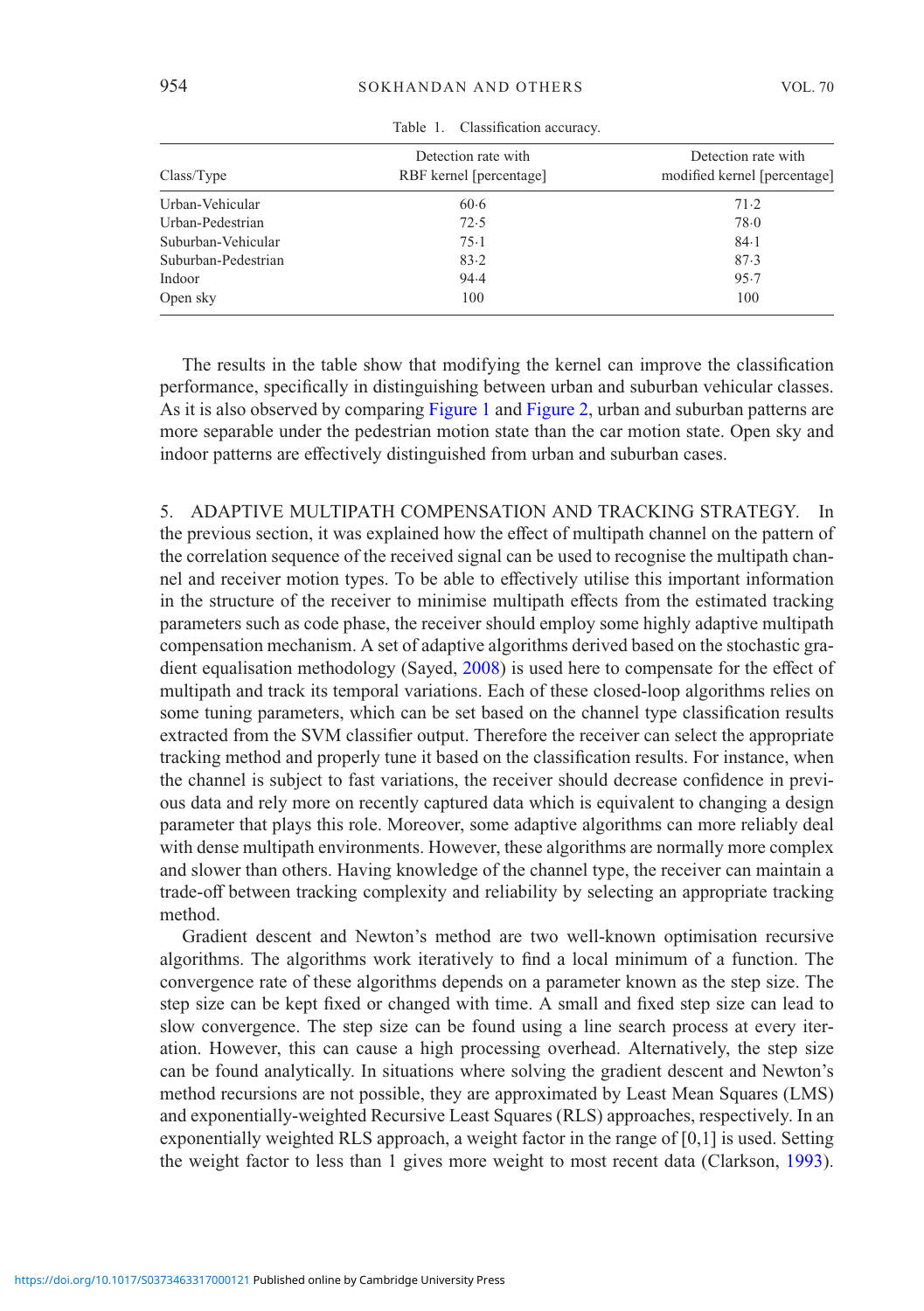<span id="page-10-0"></span>

| Class/Type          | Detection rate with<br>RBF kernel [percentage] | Detection rate with<br>modified kernel [percentage] |  |
|---------------------|------------------------------------------------|-----------------------------------------------------|--|
| Urban-Vehicular     | $60-6$                                         | 71.2                                                |  |
| Urban-Pedestrian    | 72.5                                           | 78.0                                                |  |
| Suburban-Vehicular  | 75.1                                           | $84-1$                                              |  |
| Suburban-Pedestrian | 83.2                                           | 87.3                                                |  |
| Indoor              | 94.4                                           | 95.7                                                |  |
| Open sky            | 100                                            | 100                                                 |  |

Table 1. Classification accuracy.

The results in the table show that modifying the kernel can improve the classification performance, specifically in distinguishing between urban and suburban vehicular classes. As it is also observed by comparing [Figure 1](#page-4-0) and [Figure 2,](#page-4-1) urban and suburban patterns are more separable under the pedestrian motion state than the car motion state. Open sky and indoor patterns are effectively distinguished from urban and suburban cases.

5. ADAPTIVE MULTIPATH COMPENSATION AND TRACKING STRATEGY. In the previous section, it was explained how the effect of multipath channel on the pattern of the correlation sequence of the received signal can be used to recognise the multipath channel and receiver motion types. To be able to effectively utilise this important information in the structure of the receiver to minimise multipath effects from the estimated tracking parameters such as code phase, the receiver should employ some highly adaptive multipath compensation mechanism. A set of adaptive algorithms derived based on the stochastic gradient equalisation methodology (Sayed, [2008\)](#page-18-15) is used here to compensate for the effect of multipath and track its temporal variations. Each of these closed-loop algorithms relies on some tuning parameters, which can be set based on the channel type classification results extracted from the SVM classifier output. Therefore the receiver can select the appropriate tracking method and properly tune it based on the classification results. For instance, when the channel is subject to fast variations, the receiver should decrease confidence in previous data and rely more on recently captured data which is equivalent to changing a design parameter that plays this role. Moreover, some adaptive algorithms can more reliably deal with dense multipath environments. However, these algorithms are normally more complex and slower than others. Having knowledge of the channel type, the receiver can maintain a trade-off between tracking complexity and reliability by selecting an appropriate tracking method.

Gradient descent and Newton's method are two well-known optimisation recursive algorithms. The algorithms work iteratively to find a local minimum of a function. The convergence rate of these algorithms depends on a parameter known as the step size. The step size can be kept fixed or changed with time. A small and fixed step size can lead to slow convergence. The step size can be found using a line search process at every iteration. However, this can cause a high processing overhead. Alternatively, the step size can be found analytically. In situations where solving the gradient descent and Newton's method recursions are not possible, they are approximated by Least Mean Squares (LMS) and exponentially-weighted Recursive Least Squares (RLS) approaches, respectively. In an exponentially weighted RLS approach, a weight factor in the range of [0,1] is used. Setting the weight factor to less than 1 gives more weight to most recent data (Clarkson, [1993](#page-17-24)).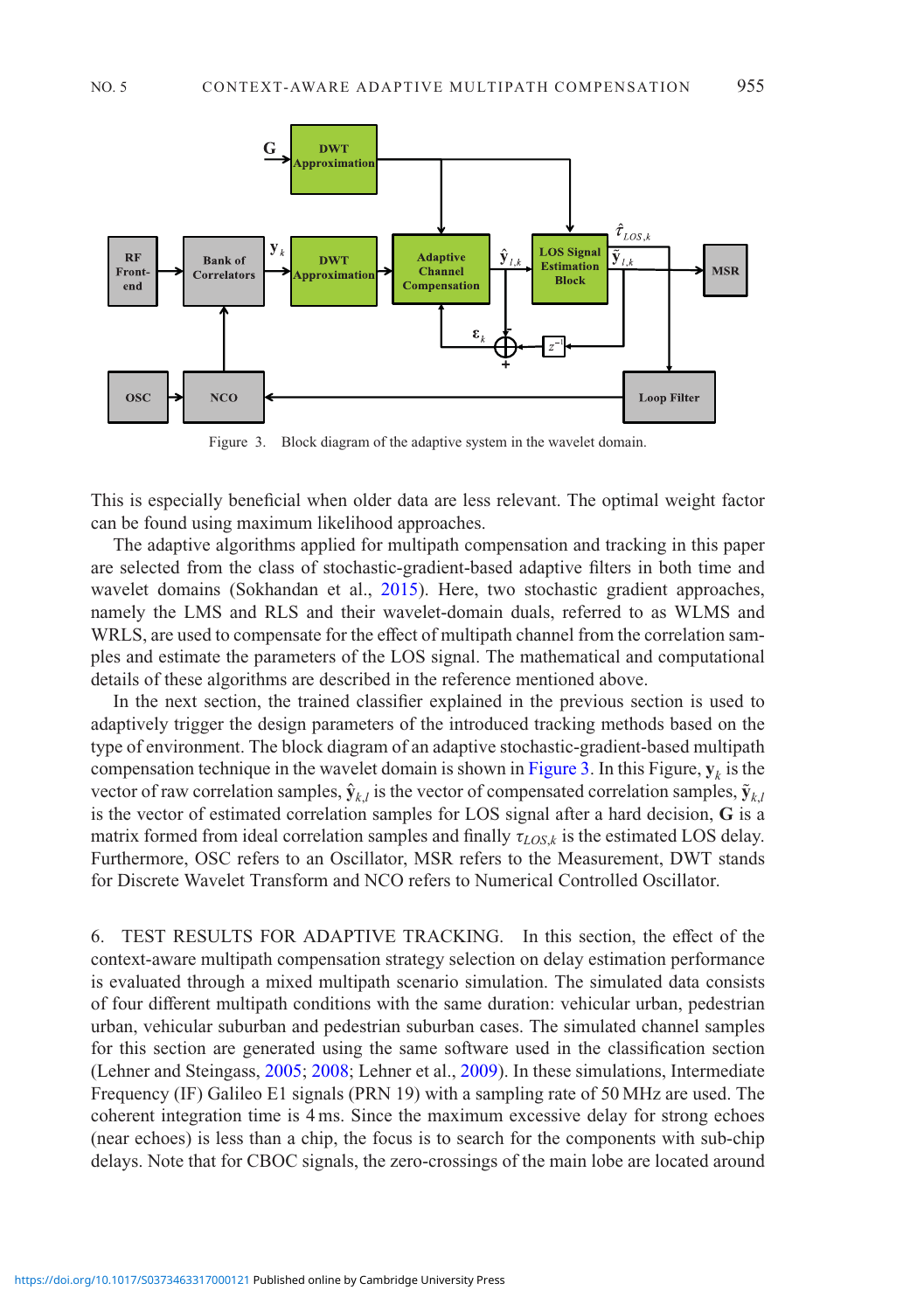<span id="page-11-0"></span>

Figure 3. Block diagram of the adaptive system in the wavelet domain.

This is especially beneficial when older data are less relevant. The optimal weight factor can be found using maximum likelihood approaches.

The adaptive algorithms applied for multipath compensation and tracking in this paper are selected from the class of stochastic-gradient-based adaptive filters in both time and wavelet domains (Sokhandan et al., [2015](#page-18-16)). Here, two stochastic gradient approaches, namely the LMS and RLS and their wavelet-domain duals, referred to as WLMS and WRLS, are used to compensate for the effect of multipath channel from the correlation samples and estimate the parameters of the LOS signal. The mathematical and computational details of these algorithms are described in the reference mentioned above.

In the next section, the trained classifier explained in the previous section is used to adaptively trigger the design parameters of the introduced tracking methods based on the type of environment. The block diagram of an adaptive stochastic-gradient-based multipath compensation technique in the wavelet domain is shown in [Figure 3.](#page-11-0) In this Figure,  $y_k$  is the vector of raw correlation samples,  $\hat{\mathbf{y}}_{k,l}$  is the vector of compensated correlation samples,  $\tilde{\mathbf{y}}_{k,l}$ is the vector of estimated correlation samples for LOS signal after a hard decision, **G** is a matrix formed from ideal correlation samples and finally  $\tau_{LOS,k}$  is the estimated LOS delay. Furthermore, OSC refers to an Oscillator, MSR refers to the Measurement, DWT stands for Discrete Wavelet Transform and NCO refers to Numerical Controlled Oscillator.

6. TEST RESULTS FOR ADAPTIVE TRACKING. In this section, the effect of the context-aware multipath compensation strategy selection on delay estimation performance is evaluated through a mixed multipath scenario simulation. The simulated data consists of four different multipath conditions with the same duration: vehicular urban, pedestrian urban, vehicular suburban and pedestrian suburban cases. The simulated channel samples for this section are generated using the same software used in the classification section (Lehner and Steingass, [2005](#page-17-14); [2008](#page-17-15); Lehner et al., [2009\)](#page-17-16). In these simulations, Intermediate Frequency (IF) Galileo E1 signals (PRN 19) with a sampling rate of 50 MHz are used. The coherent integration time is 4 ms. Since the maximum excessive delay for strong echoes (near echoes) is less than a chip, the focus is to search for the components with sub-chip delays. Note that for CBOC signals, the zero-crossings of the main lobe are located around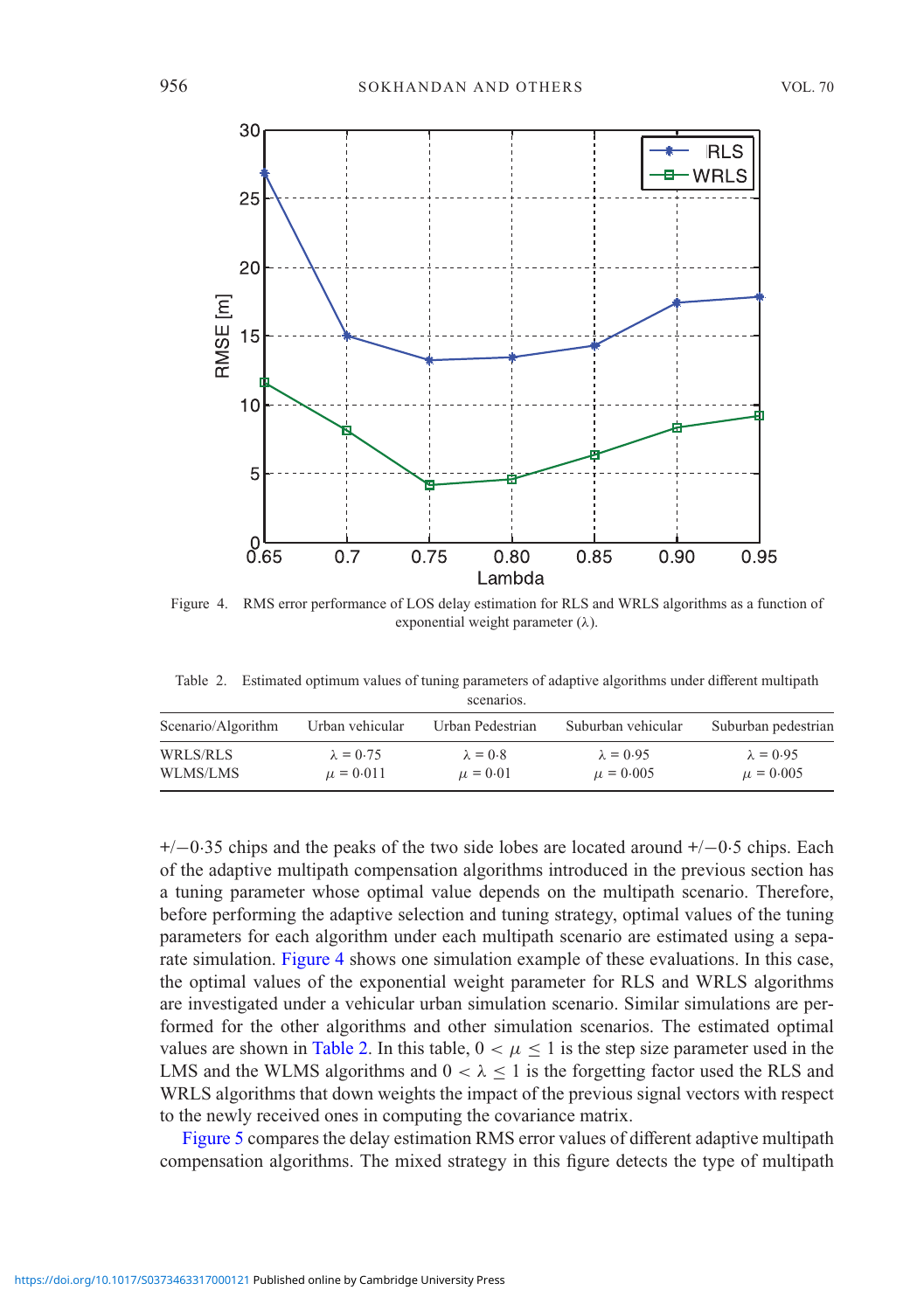<span id="page-12-0"></span>

Figure 4. RMS error performance of LOS delay estimation for RLS and WRLS algorithms as a function of exponential weight parameter  $(\lambda)$ .

<span id="page-12-1"></span>Table 2. Estimated optimum values of tuning parameters of adaptive algorithms under different multipath scenarios.

| Scenario/Algorithm | Urban vehicular  | Urban Pedestrian | Suburban vehicular | Suburban pedestrian |
|--------------------|------------------|------------------|--------------------|---------------------|
| WRLS/RLS           | $\lambda = 0.75$ | $\lambda = 0.8$  | $\lambda = 0.95$   | $\lambda = 0.95$    |
| WLMS/LMS           | $\mu = 0.011$    | $\mu = 0.01$     | $\mu = 0.005$      | $\mu = 0.005$       |

 $+/-0.35$  chips and the peaks of the two side lobes are located around  $+/-0.5$  chips. Each of the adaptive multipath compensation algorithms introduced in the previous section has a tuning parameter whose optimal value depends on the multipath scenario. Therefore, before performing the adaptive selection and tuning strategy, optimal values of the tuning parameters for each algorithm under each multipath scenario are estimated using a separate simulation. [Figure 4](#page-12-0) shows one simulation example of these evaluations. In this case, the optimal values of the exponential weight parameter for RLS and WRLS algorithms are investigated under a vehicular urban simulation scenario. Similar simulations are performed for the other algorithms and other simulation scenarios. The estimated optimal values are shown in [Table 2.](#page-12-1) In this table,  $0 < \mu \le 1$  is the step size parameter used in the LMS and the WLMS algorithms and  $0 < \lambda < 1$  is the forgetting factor used the RLS and WRLS algorithms that down weights the impact of the previous signal vectors with respect to the newly received ones in computing the covariance matrix.

[Figure 5](#page-13-0) compares the delay estimation RMS error values of different adaptive multipath compensation algorithms. The mixed strategy in this figure detects the type of multipath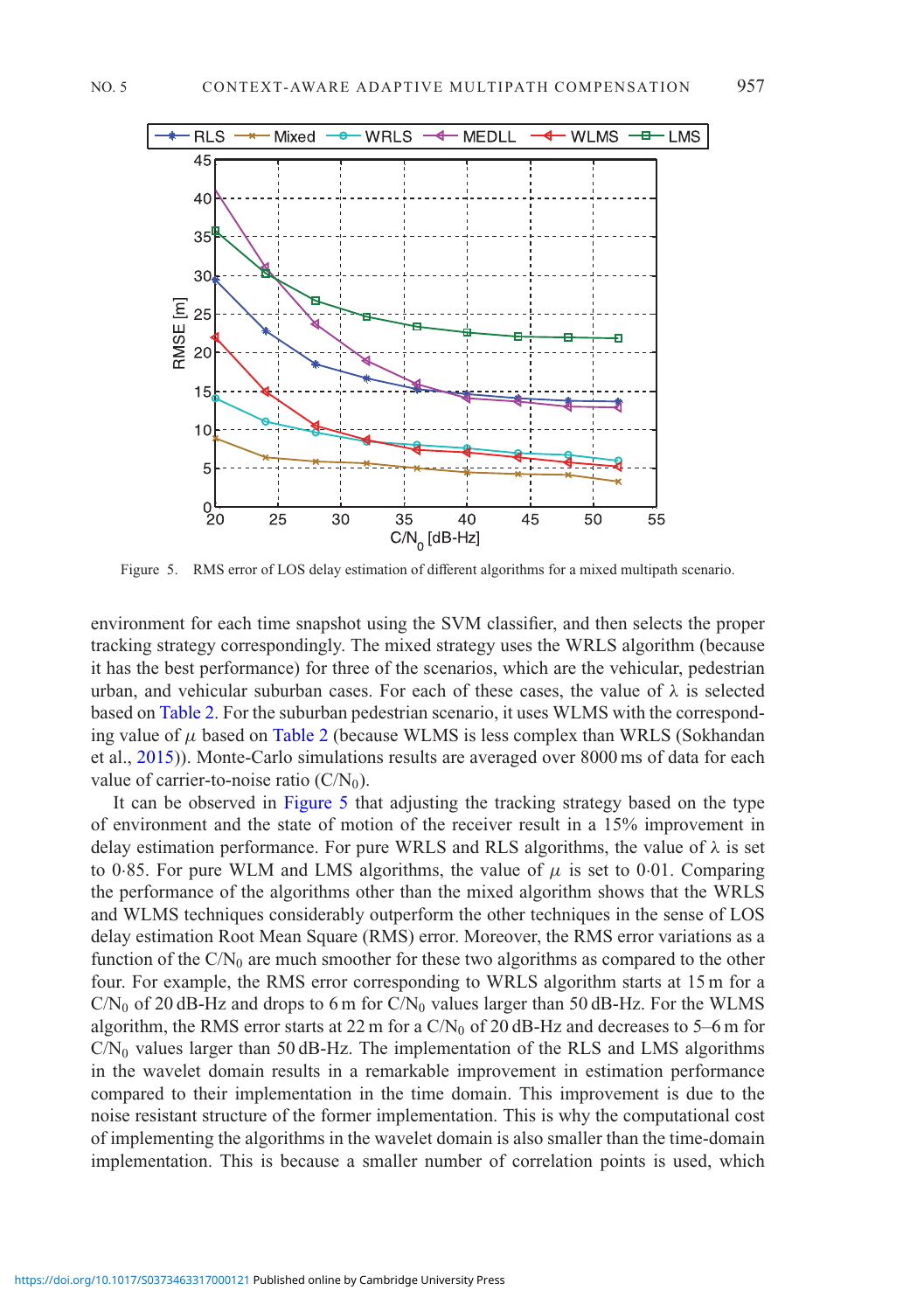<span id="page-13-0"></span>

Figure 5. RMS error of LOS delay estimation of different algorithms for a mixed multipath scenario.

environment for each time snapshot using the SVM classifier, and then selects the proper tracking strategy correspondingly. The mixed strategy uses the WRLS algorithm (because it has the best performance) for three of the scenarios, which are the vehicular, pedestrian urban, and vehicular suburban cases. For each of these cases, the value of  $\lambda$  is selected based on [Table 2.](#page-12-1) For the suburban pedestrian scenario, it uses WLMS with the corresponding value of  $\mu$  based on [Table 2](#page-12-1) (because WLMS is less complex than WRLS (Sokhandan et al., [2015](#page-18-16))). Monte-Carlo simulations results are averaged over 8000 ms of data for each value of carrier-to-noise ratio  $(C/N_0)$ .

It can be observed in [Figure 5](#page-13-0) that adjusting the tracking strategy based on the type of environment and the state of motion of the receiver result in a 15% improvement in delay estimation performance. For pure WRLS and RLS algorithms, the value of  $\lambda$  is set to 0.85. For pure WLM and LMS algorithms, the value of  $\mu$  is set to 0.01. Comparing the performance of the algorithms other than the mixed algorithm shows that the WRLS and WLMS techniques considerably outperform the other techniques in the sense of LOS delay estimation Root Mean Square (RMS) error. Moreover, the RMS error variations as a function of the  $C/N_0$  are much smoother for these two algorithms as compared to the other four. For example, the RMS error corresponding to WRLS algorithm starts at 15 m for a  $CN<sub>0</sub>$  of 20 dB-Hz and drops to 6 m for  $CN<sub>0</sub>$  values larger than 50 dB-Hz. For the WLMS algorithm, the RMS error starts at 22 m for a  $C/N_0$  of 20 dB-Hz and decreases to 5–6 m for  $CN<sub>0</sub>$  values larger than 50 dB-Hz. The implementation of the RLS and LMS algorithms in the wavelet domain results in a remarkable improvement in estimation performance compared to their implementation in the time domain. This improvement is due to the noise resistant structure of the former implementation. This is why the computational cost of implementing the algorithms in the wavelet domain is also smaller than the time-domain implementation. This is because a smaller number of correlation points is used, which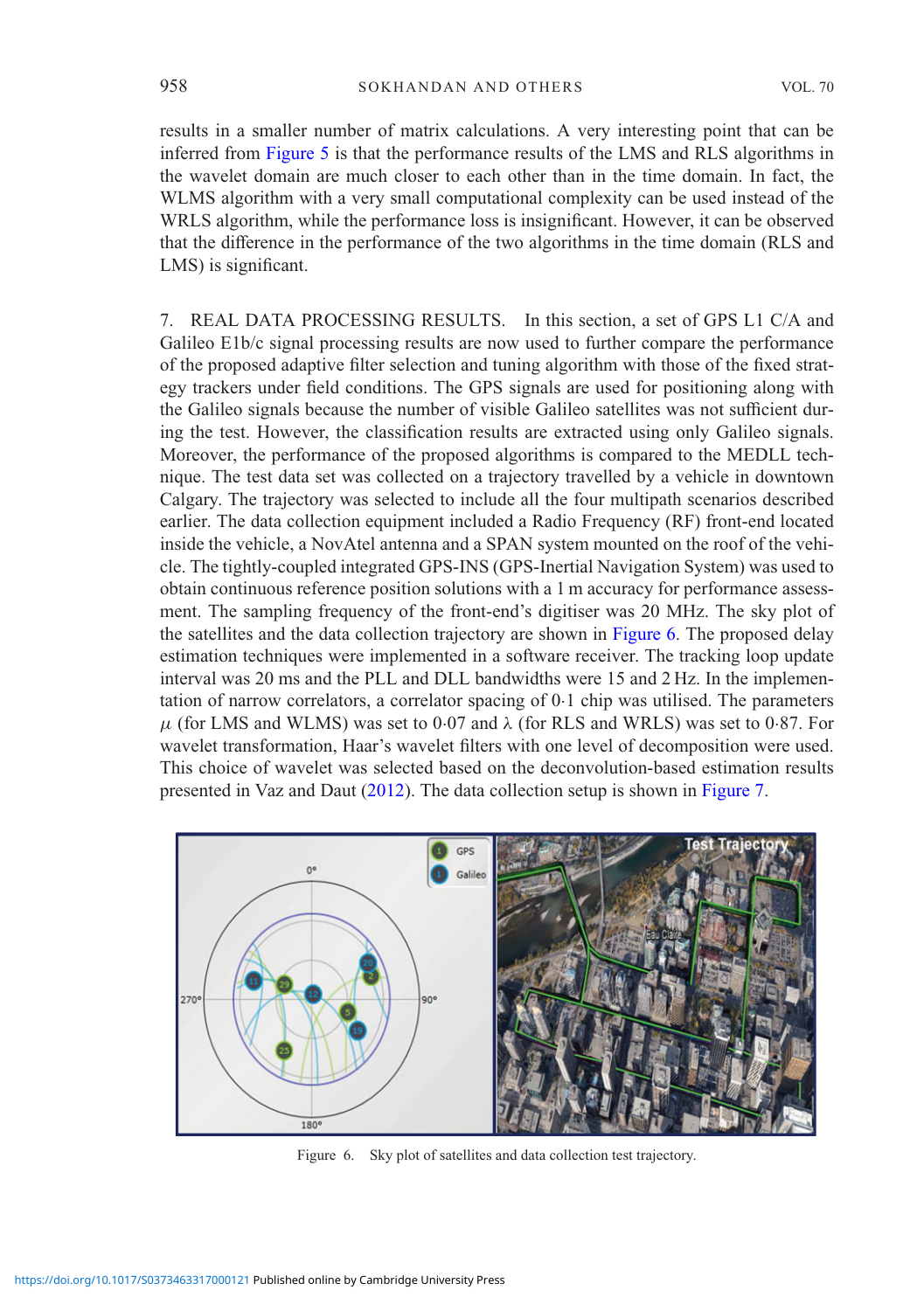results in a smaller number of matrix calculations. A very interesting point that can be inferred from [Figure 5](#page-13-0) is that the performance results of the LMS and RLS algorithms in the wavelet domain are much closer to each other than in the time domain. In fact, the WLMS algorithm with a very small computational complexity can be used instead of the WRLS algorithm, while the performance loss is insignificant. However, it can be observed that the difference in the performance of the two algorithms in the time domain (RLS and LMS) is significant.

7. REAL DATA PROCESSING RESULTS. In this section, a set of GPS L1 C/A and Galileo E1b/c signal processing results are now used to further compare the performance of the proposed adaptive filter selection and tuning algorithm with those of the fixed strategy trackers under field conditions. The GPS signals are used for positioning along with the Galileo signals because the number of visible Galileo satellites was not sufficient during the test. However, the classification results are extracted using only Galileo signals. Moreover, the performance of the proposed algorithms is compared to the MEDLL technique. The test data set was collected on a trajectory travelled by a vehicle in downtown Calgary. The trajectory was selected to include all the four multipath scenarios described earlier. The data collection equipment included a Radio Frequency (RF) front-end located inside the vehicle, a NovAtel antenna and a SPAN system mounted on the roof of the vehicle. The tightly-coupled integrated GPS-INS (GPS-Inertial Navigation System) was used to obtain continuous reference position solutions with a 1 m accuracy for performance assessment. The sampling frequency of the front-end's digitiser was 20 MHz. The sky plot of the satellites and the data collection trajectory are shown in [Figure 6.](#page-14-0) The proposed delay estimation techniques were implemented in a software receiver. The tracking loop update interval was 20 ms and the PLL and DLL bandwidths were 15 and 2 Hz. In the implementation of narrow correlators, a correlator spacing of 0·1 chip was utilised. The parameters  $\mu$  (for LMS and WLMS) was set to 0.07 and  $\lambda$  (for RLS and WRLS) was set to 0.87. For wavelet transformation, Haar's wavelet filters with one level of decomposition were used. This choice of wavelet was selected based on the deconvolution-based estimation results presented in Vaz and Daut [\(2012](#page-18-17)). The data collection setup is shown in [Figure 7.](#page-15-0)

<span id="page-14-0"></span>

Figure 6. Sky plot of satellites and data collection test trajectory.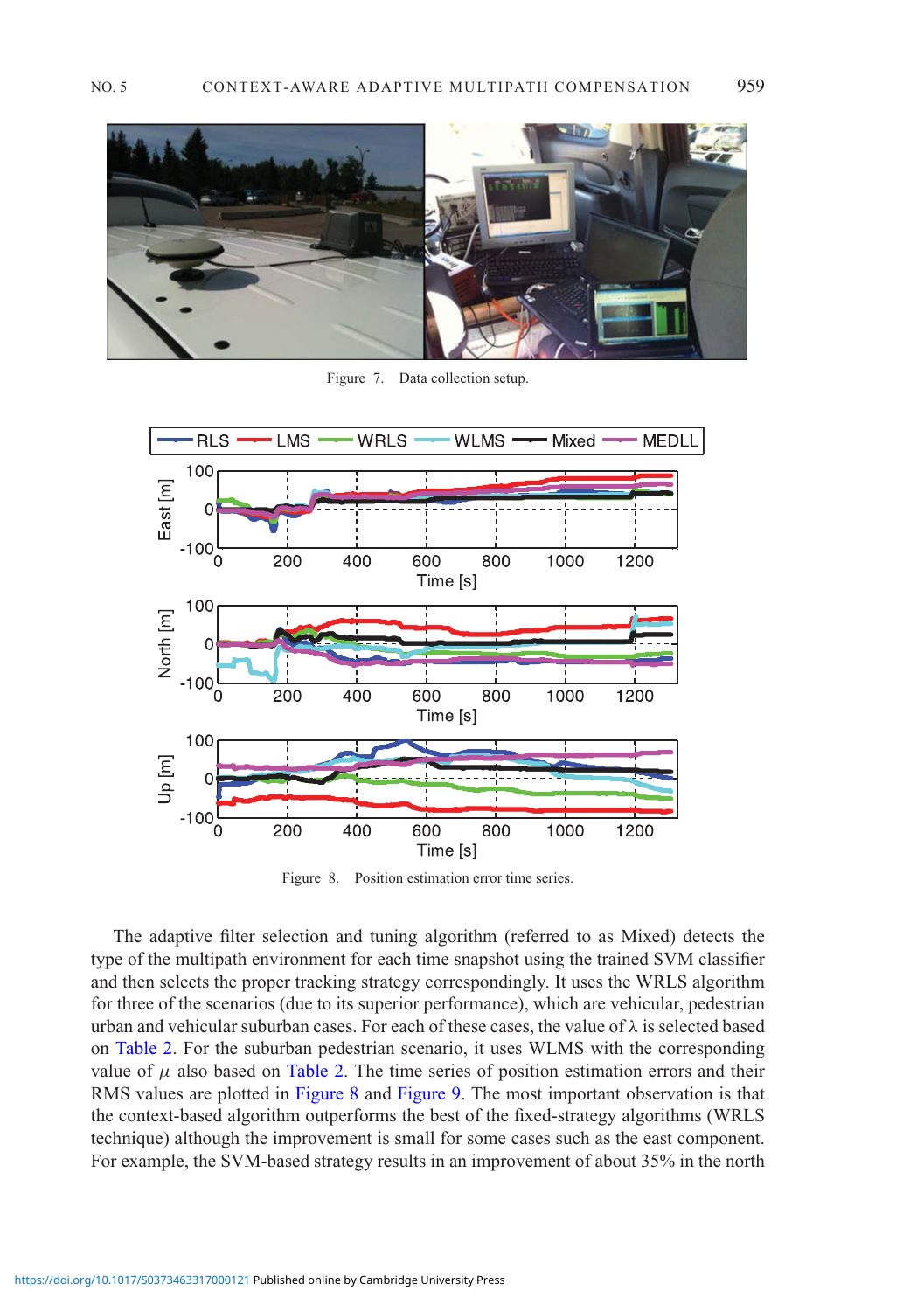<span id="page-15-0"></span>



Figure 7. Data collection setup.

<span id="page-15-1"></span>

Figure 8. Position estimation error time series.

The adaptive filter selection and tuning algorithm (referred to as Mixed) detects the type of the multipath environment for each time snapshot using the trained SVM classifier and then selects the proper tracking strategy correspondingly. It uses the WRLS algorithm for three of the scenarios (due to its superior performance), which are vehicular, pedestrian urban and vehicular suburban cases. For each of these cases, the value of  $\lambda$  is selected based on [Table 2.](#page-12-1) For the suburban pedestrian scenario, it uses WLMS with the corresponding value of  $\mu$  also based on [Table 2.](#page-12-1) The time series of position estimation errors and their RMS values are plotted in [Figure 8](#page-15-1) and [Figure 9.](#page-16-0) The most important observation is that the context-based algorithm outperforms the best of the fixed-strategy algorithms (WRLS technique) although the improvement is small for some cases such as the east component. For example, the SVM-based strategy results in an improvement of about 35% in the north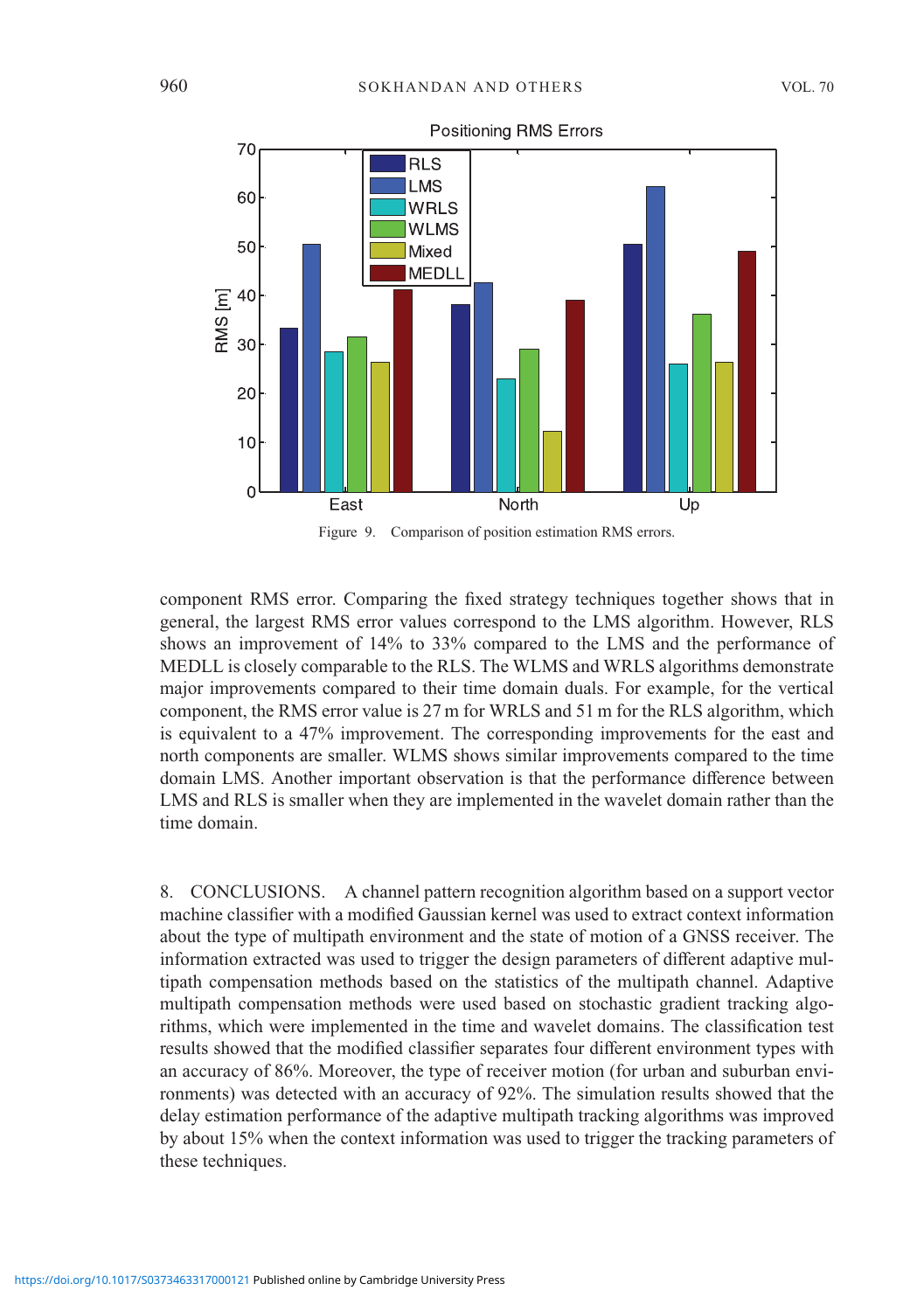<span id="page-16-0"></span>

Positioning RMS Errors

Figure 9. Comparison of position estimation RMS errors.

component RMS error. Comparing the fixed strategy techniques together shows that in general, the largest RMS error values correspond to the LMS algorithm. However, RLS shows an improvement of 14% to 33% compared to the LMS and the performance of MEDLL is closely comparable to the RLS. The WLMS and WRLS algorithms demonstrate major improvements compared to their time domain duals. For example, for the vertical component, the RMS error value is 27 m for WRLS and 51 m for the RLS algorithm, which is equivalent to a 47% improvement. The corresponding improvements for the east and north components are smaller. WLMS shows similar improvements compared to the time domain LMS. Another important observation is that the performance difference between LMS and RLS is smaller when they are implemented in the wavelet domain rather than the time domain.

8. CONCLUSIONS. A channel pattern recognition algorithm based on a support vector machine classifier with a modified Gaussian kernel was used to extract context information about the type of multipath environment and the state of motion of a GNSS receiver. The information extracted was used to trigger the design parameters of different adaptive multipath compensation methods based on the statistics of the multipath channel. Adaptive multipath compensation methods were used based on stochastic gradient tracking algorithms, which were implemented in the time and wavelet domains. The classification test results showed that the modified classifier separates four different environment types with an accuracy of 86%. Moreover, the type of receiver motion (for urban and suburban environments) was detected with an accuracy of 92%. The simulation results showed that the delay estimation performance of the adaptive multipath tracking algorithms was improved by about 15% when the context information was used to trigger the tracking parameters of these techniques.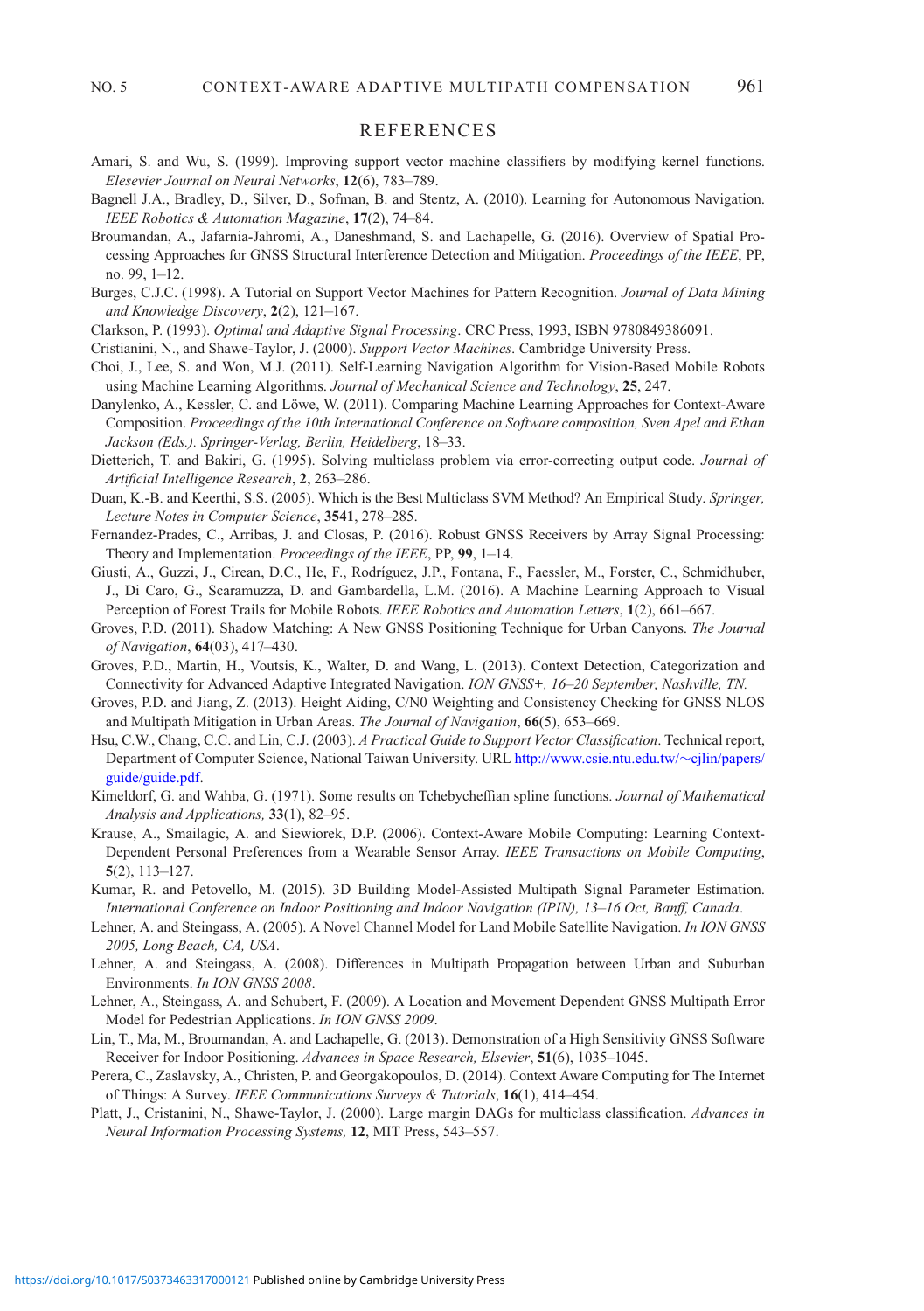## REFERENCES

- <span id="page-17-21"></span>Amari, S. and Wu, S. (1999). Improving support vector machine classifiers by modifying kernel functions. *Elesevier Journal on Neural Networks*, **12**(6), 783–789.
- <span id="page-17-8"></span>Bagnell J.A., Bradley, D., Silver, D., Sofman, B. and Stentz, A. (2010). Learning for Autonomous Navigation. *IEEE Robotics & Automation Magazine*, **17**(2), 74–84.
- <span id="page-17-1"></span>Broumandan, A., Jafarnia-Jahromi, A., Daneshmand, S. and Lachapelle, G. (2016). Overview of Spatial Processing Approaches for GNSS Structural Interference Detection and Mitigation. *Proceedings of the IEEE*, PP, no. 99, 1–12.
- <span id="page-17-13"></span>Burges, C.J.C. (1998). A Tutorial on Support Vector Machines for Pattern Recognition. *Journal of Data Mining and Knowledge Discovery*, **2**(2), 121–167.
- <span id="page-17-24"></span>Clarkson, P. (1993). *Optimal and Adaptive Signal Processing*. CRC Press, 1993, ISBN 9780849386091.
- <span id="page-17-17"></span>Cristianini, N., and Shawe-Taylor, J. (2000). *Support Vector Machines*. Cambridge University Press.
- <span id="page-17-9"></span>Choi, J., Lee, S. and Won, M.J. (2011). Self-Learning Navigation Algorithm for Vision-Based Mobile Robots using Machine Learning Algorithms. *Journal of Mechanical Science and Technology*, **25**, 247.
- <span id="page-17-6"></span>Danylenko, A., Kessler, C. and Löwe, W. (2011). Comparing Machine Learning Approaches for Context-Aware Composition. *Proceedings of the 10th International Conference on Software composition, Sven Apel and Ethan Jackson (Eds.). Springer-Verlag, Berlin, Heidelberg*, 18–33.
- <span id="page-17-22"></span>Dietterich, T. and Bakiri, G. (1995). Solving multiclass problem via error-correcting output code. *Journal of Artificial Intelligence Research*, **2**, 263–286.
- <span id="page-17-23"></span>Duan, K.-B. and Keerthi, S.S. (2005). Which is the Best Multiclass SVM Method? An Empirical Study. *Springer, Lecture Notes in Computer Science*, **3541**, 278–285.
- <span id="page-17-0"></span>Fernandez-Prades, C., Arribas, J. and Closas, P. (2016). Robust GNSS Receivers by Array Signal Processing: Theory and Implementation. *Proceedings of the IEEE*, PP, **99**, 1–14.
- <span id="page-17-10"></span>Giusti, A., Guzzi, J., Cirean, D.C., He, F., Rodríguez, J.P., Fontana, F., Faessler, M., Forster, C., Schmidhuber, J., Di Caro, G., Scaramuzza, D. and Gambardella, L.M. (2016). A Machine Learning Approach to Visual Perception of Forest Trails for Mobile Robots. *IEEE Robotics and Automation Letters*, **1**(2), 661–667.
- <span id="page-17-3"></span>Groves, P.D. (2011). Shadow Matching: A New GNSS Positioning Technique for Urban Canyons. *The Journal of Navigation*, **64**(03), 417–430.
- <span id="page-17-11"></span>Groves, P.D., Martin, H., Voutsis, K., Walter, D. and Wang, L. (2013). Context Detection, Categorization and Connectivity for Advanced Adaptive Integrated Navigation. *ION GNSS+, 16–20 September, Nashville, TN.*
- <span id="page-17-4"></span>Groves, P.D. and Jiang, Z. (2013). Height Aiding, C/N0 Weighting and Consistency Checking for GNSS NLOS and Multipath Mitigation in Urban Areas. *The Journal of Navigation*, **66**(5), 653–669.
- <span id="page-17-20"></span>Hsu, C.W., Chang, C.C. and Lin, C.J. (2003). *A Practical Guide to Support Vector Classification*. Technical report, Department of Computer Science, National Taiwan University. URL [http://www.csie.ntu.edu.tw/](http://www.csie.ntu.edu.tw/~cjlin/papers/guide/guide.pdf)∼cjlin/papers/ [guide/guide.pdf.](http://www.csie.ntu.edu.tw/~cjlin/papers/guide/guide.pdf)
- <span id="page-17-19"></span>Kimeldorf, G. and Wahba, G. (1971). Some results on Tchebycheffian spline functions. *Journal of Mathematical Analysis and Applications,* **33**(1), 82–95.
- <span id="page-17-5"></span>Krause, A., Smailagic, A. and Siewiorek, D.P. (2006). Context-Aware Mobile Computing: Learning Context-Dependent Personal Preferences from a Wearable Sensor Array. *IEEE Transactions on Mobile Computing*, **5**(2), 113–127.
- <span id="page-17-2"></span>Kumar, R. and Petovello, M. (2015). 3D Building Model-Assisted Multipath Signal Parameter Estimation. *International Conference on Indoor Positioning and Indoor Navigation (IPIN), 13–16 Oct, Banff, Canada*.
- <span id="page-17-14"></span>Lehner, A. and Steingass, A. (2005). A Novel Channel Model for Land Mobile Satellite Navigation. *In ION GNSS 2005, Long Beach, CA, USA*.
- <span id="page-17-15"></span>Lehner, A. and Steingass, A. (2008). Differences in Multipath Propagation between Urban and Suburban Environments. *In ION GNSS 2008*.
- <span id="page-17-16"></span>Lehner, A., Steingass, A. and Schubert, F. (2009). A Location and Movement Dependent GNSS Multipath Error Model for Pedestrian Applications. *In ION GNSS 2009*.
- <span id="page-17-12"></span>Lin, T., Ma, M., Broumandan, A. and Lachapelle, G. (2013). Demonstration of a High Sensitivity GNSS Software Receiver for Indoor Positioning. *Advances in Space Research, Elsevier*, **51**(6), 1035–1045.
- <span id="page-17-7"></span>Perera, C., Zaslavsky, A., Christen, P. and Georgakopoulos, D. (2014). Context Aware Computing for The Internet of Things: A Survey. *IEEE Communications Surveys & Tutorials*, **16**(1), 414–454.
- <span id="page-17-18"></span>Platt, J., Cristanini, N., Shawe-Taylor, J. (2000). Large margin DAGs for multiclass classification. *Advances in Neural Information Processing Systems,* **12**, MIT Press, 543–557.